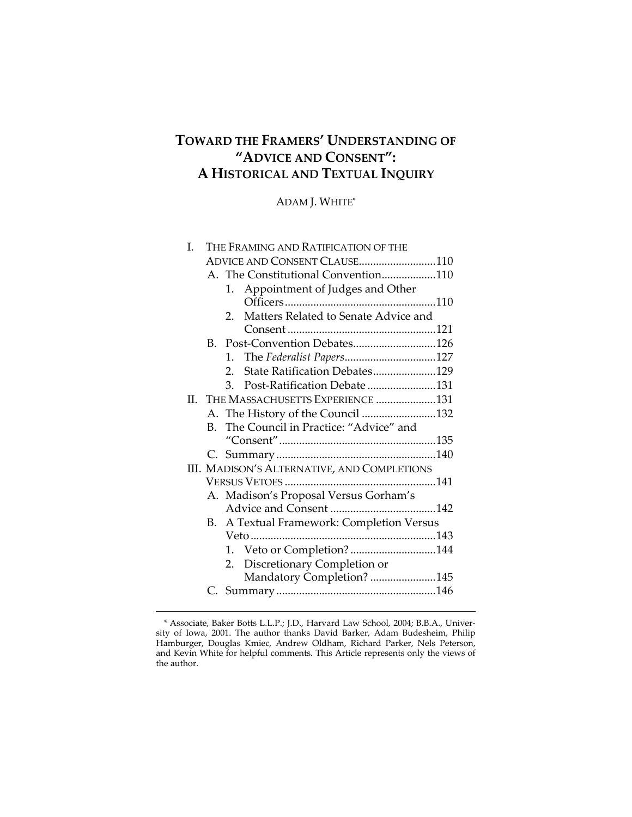# **TOWARD THE FRAMERS' UNDERSTANDING OF "ADVICE AND CONSENT": A HISTORICAL AND TEXTUAL INQUIRY**

ADAM J. WHITE\*

| I.      |         | THE FRAMING AND RATIFICATION OF THE              |  |
|---------|---------|--------------------------------------------------|--|
|         |         | ADVICE AND CONSENT CLAUSE110                     |  |
|         |         | A. The Constitutional Convention110              |  |
|         |         | 1. Appointment of Judges and Other               |  |
|         |         |                                                  |  |
|         |         | Matters Related to Senate Advice and<br>2.       |  |
|         |         |                                                  |  |
|         | B.      | Post-Convention Debates126                       |  |
|         |         | The Federalist Papers127<br>1.                   |  |
|         |         | State Ratification Debates129<br>$\mathcal{P}^-$ |  |
|         |         | Post-Ratification Debate131<br>3.                |  |
| $\Pi$ . |         | THE MASSACHUSETTS EXPERIENCE 131                 |  |
|         |         | A. The History of the Council 132                |  |
|         | $B_{-}$ | The Council in Practice: "Advice" and            |  |
|         |         |                                                  |  |
|         |         |                                                  |  |
|         |         | III. MADISON'S ALTERNATIVE, AND COMPLETIONS      |  |
|         |         |                                                  |  |
|         |         | A. Madison's Proposal Versus Gorham's            |  |
|         |         |                                                  |  |
|         | В.      | A Textual Framework: Completion Versus           |  |
|         |         |                                                  |  |
|         |         | 1. Veto or Completion?144                        |  |
|         |         | Discretionary Completion or<br>2.                |  |
|         |         | Mandatory Completion? 145                        |  |
|         |         |                                                  |  |

<sup>\*</sup> Associate, Baker Botts L.L.P.; J.D., Harvard Law School, 2004; B.B.A., Univer‐ sity of Iowa, 2001. The author thanks David Barker, Adam Budesheim, Philip Hamburger, Douglas Kmiec, Andrew Oldham, Richard Parker, Nels Peterson, and Kevin White for helpful comments. This Article represents only the views of the author.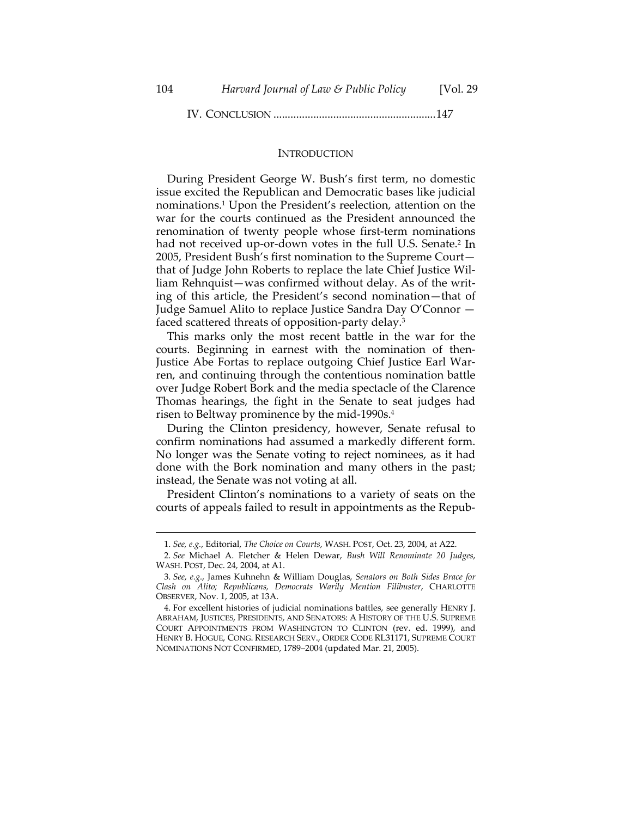IV. CONCLUSION .........................................................147

### **INTRODUCTION**

During President George W. Bush's first term, no domestic issue excited the Republican and Democratic bases like judicial nominations.1 Upon the President's reelection, attention on the war for the courts continued as the President announced the renomination of twenty people whose first-term nominations had not received up-or-down votes in the full U.S. Senate.<sup>2</sup> In 2005, President Bush's first nomination to the Supreme Court that of Judge John Roberts to replace the late Chief Justice Wil‐ liam Rehnquist—was confirmed without delay. As of the writ‐ ing of this article, the President's second nomination—that of Judge Samuel Alito to replace Justice Sandra Day O'Connor faced scattered threats of opposition‐party delay.3

This marks only the most recent battle in the war for the courts. Beginning in earnest with the nomination of then-Justice Abe Fortas to replace outgoing Chief Justice Earl War‐ ren, and continuing through the contentious nomination battle over Judge Robert Bork and the media spectacle of the Clarence Thomas hearings, the fight in the Senate to seat judges had risen to Beltway prominence by the mid‐1990s.4

During the Clinton presidency, however, Senate refusal to confirm nominations had assumed a markedly different form. No longer was the Senate voting to reject nominees, as it had done with the Bork nomination and many others in the past; instead, the Senate was not voting at all.

President Clinton's nominations to a variety of seats on the courts of appeals failed to result in appointments as the Repub‐

<sup>&</sup>lt;u> 1989 - Johann Stein, marwolaethau a bhann an t-Amhain an t-Amhain an t-Amhain an t-Amhain an t-Amhain an t-A</u> 1. *See, e.g.*, Editorial, *The Choice on Courts*, WASH. POST, Oct. 23, 2004, at A22.

<sup>2.</sup> *See* Michael A. Fletcher & Helen Dewar, *Bush Will Renominate 20 Judges*, WASH. POST, Dec. 24, 2004, at A1.

<sup>3.</sup> *See*, *e.g.*, James Kuhnehn & William Douglas, *Senators on Both Sides Brace for Clash on Alito; Republicans, Democrats Warily Mention Filibuster*, CHARLOTTE OBSERVER, Nov. 1, 2005, at 13A.

<sup>4.</sup> For excellent histories of judicial nominations battles, see generally HENRY J. ABRAHAM, JUSTICES, PRESIDENTS, AND SENATORS: A HISTORY OF THE U.S. SUPREME COURT APPOINTMENTS FROM WASHINGTON TO CLINTON (rev. ed. 1999), and HENRY B. HOGUE, CONG. RESEARCH SERV., ORDER CODE RL31171, SUPREME COURT NOMINATIONS NOT CONFIRMED, 1789–2004 (updated Mar. 21, 2005).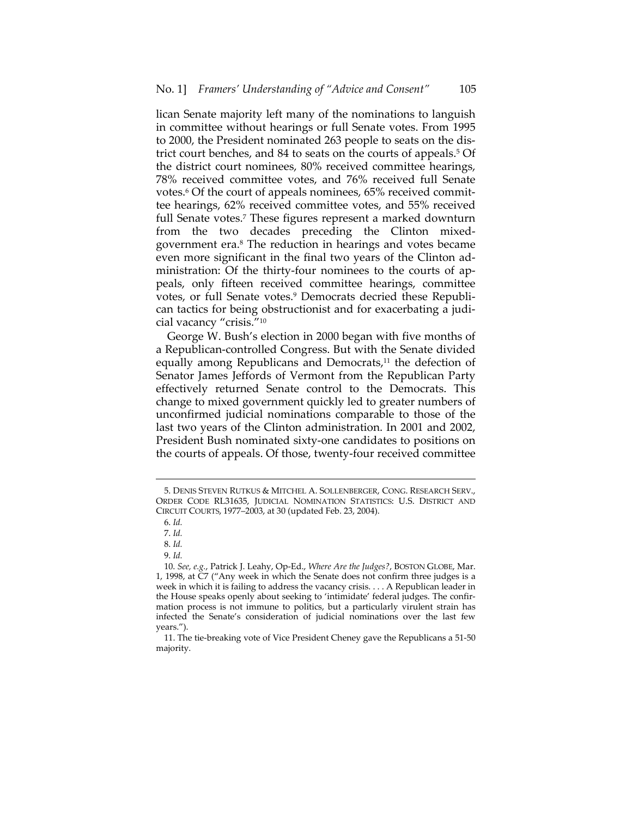lican Senate majority left many of the nominations to languish in committee without hearings or full Senate votes. From 1995 to 2000, the President nominated 263 people to seats on the dis‐ trict court benches, and 84 to seats on the courts of appeals.<sup>5</sup> Of the district court nominees, 80% received committee hearings, 78% received committee votes, and 76% received full Senate votes.<sup>6</sup> Of the court of appeals nominees, 65% received committee hearings, 62% received committee votes, and 55% received full Senate votes.<sup>7</sup> These figures represent a marked downturn from the two decades preceding the Clinton mixedgovernment era.8 The reduction in hearings and votes became even more significant in the final two years of the Clinton ad‐ ministration: Of the thirty-four nominees to the courts of appeals, only fifteen received committee hearings, committee votes, or full Senate votes.<sup>9</sup> Democrats decried these Republican tactics for being obstructionist and for exacerbating a judi‐ cial vacancy "crisis."10

George W. Bush's election in 2000 began with five months of a Republican‐controlled Congress. But with the Senate divided equally among Republicans and Democrats,<sup>11</sup> the defection of Senator James Jeffords of Vermont from the Republican Party effectively returned Senate control to the Democrats. This change to mixed government quickly led to greater numbers of unconfirmed judicial nominations comparable to those of the last two years of the Clinton administration. In 2001 and 2002, President Bush nominated sixty‐one candidates to positions on the courts of appeals. Of those, twenty‐four received committee

<sup>5.</sup> DENIS STEVEN RUTKUS & MITCHEL A. SOLLENBERGER, CONG. RESEARCH SERV., ORDER CODE RL31635, JUDICIAL NOMINATION STATISTICS: U.S. DISTRICT AND CIRCUIT COURTS, 1977–2003, at 30 (updated Feb. 23, 2004).

<sup>6.</sup> *Id.*

<sup>7.</sup> *Id.*

<sup>8.</sup> *Id.*

<sup>9.</sup> *Id.*

<sup>10.</sup> *See, e.g.*, Patrick J. Leahy, Op‐Ed., *Where Are the Judges?*, BOSTON GLOBE, Mar. 1, 1998, at C7 ("Any week in which the Senate does not confirm three judges is a week in which it is failing to address the vacancy crisis. . . . A Republican leader in the House speaks openly about seeking to 'intimidate' federal judges. The confir‐ mation process is not immune to politics, but a particularly virulent strain has infected the Senate's consideration of judicial nominations over the last few years.").

<sup>11.</sup> The tie‐breaking vote of Vice President Cheney gave the Republicans a 51‐50 majority.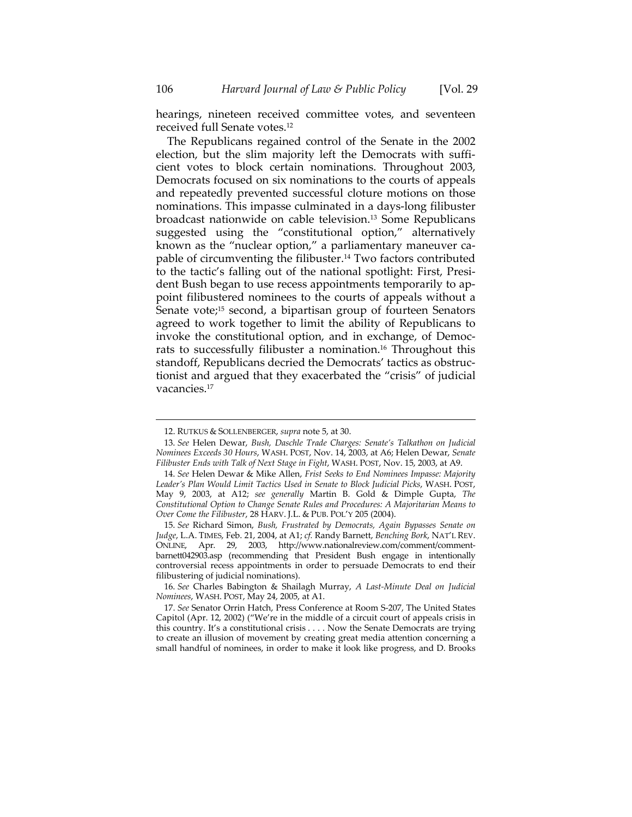hearings, nineteen received committee votes, and seventeen received full Senate votes.<sup>12</sup>

The Republicans regained control of the Senate in the 2002 election, but the slim majority left the Democrats with sufficient votes to block certain nominations. Throughout 2003, Democrats focused on six nominations to the courts of appeals and repeatedly prevented successful cloture motions on those nominations. This impasse culminated in a days‐long filibuster broadcast nationwide on cable television.13 Some Republicans suggested using the "constitutional option," alternatively known as the "nuclear option," a parliamentary maneuver ca‐ pable of circumventing the filibuster.14 Two factors contributed to the tactic's falling out of the national spotlight: First, Presi‐ dent Bush began to use recess appointments temporarily to appoint filibustered nominees to the courts of appeals without a Senate vote;<sup>15</sup> second, a bipartisan group of fourteen Senators agreed to work together to limit the ability of Republicans to invoke the constitutional option, and in exchange, of Democ‐ rats to successfully filibuster a nomination.<sup>16</sup> Throughout this standoff, Republicans decried the Democrats' tactics as obstruc‐ tionist and argued that they exacerbated the "crisis" of judicial vacancies.17

<sup>12.</sup> RUTKUS & SOLLENBERGER, *supra* note 5, at 30.

<sup>13.</sup> *See* Helen Dewar, *Bush, Daschle Trade Charges: Senate's Talkathon on Judicial Nominees Exceeds 30 Hours*, WASH. POST, Nov. 14, 2003, at A6; Helen Dewar, *Senate Filibuster Ends with Talk of Next Stage in Fight*, WASH. POST, Nov. 15, 2003, at A9.

<sup>14.</sup> *See* Helen Dewar & Mike Allen, *Frist Seeks to End Nominees Impasse: Majority Leader's Plan Would Limit Tactics Used in Senate to Block Judicial Picks*, WASH. POST, May 9, 2003, at A12; *see generally* Martin B. Gold & Dimple Gupta, *The Constitutional Option to Change Senate Rules and Procedures: A Majoritarian Means to Over Come the Filibuster*, 28 HARV. J.L. & PUB. POL'Y 205 (2004).

<sup>15.</sup> *See* Richard Simon, *Bush, Frustrated by Democrats, Again Bypasses Senate on Judge*, L.A. TIMES, Feb. 21, 2004, at A1; *cf.* Randy Barnett, *Benching Bork*, NAT'L REV. ONLINE, Apr. 29, 2003, http://www.nationalreview.com/comment/comment‐ barnett042903.asp (recommending that President Bush engage in intentionally controversial recess appointments in order to persuade Democrats to end their filibustering of judicial nominations).

<sup>16.</sup> *See* Charles Babington & Shailagh Murray, *A Last‐Minute Deal on Judicial Nominees*, WASH. POST, May 24, 2005, at A1.

<sup>17.</sup> *See* Senator Orrin Hatch, Press Conference at Room S‐207, The United States Capitol (Apr. 12, 2002) ("We're in the middle of a circuit court of appeals crisis in this country. It's a constitutional crisis . . . . Now the Senate Democrats are trying to create an illusion of movement by creating great media attention concerning a small handful of nominees, in order to make it look like progress, and D. Brooks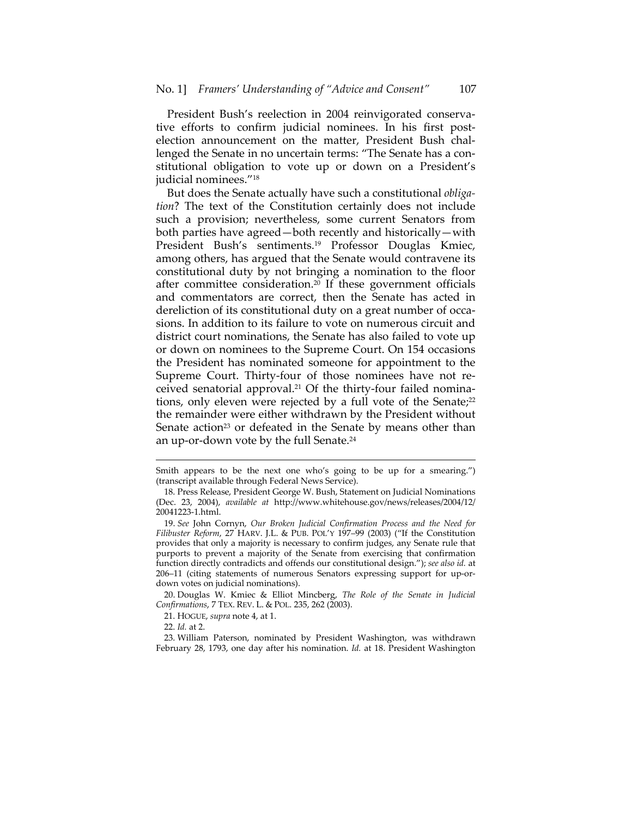President Bush's reelection in 2004 reinvigorated conservative efforts to confirm judicial nominees. In his first postelection announcement on the matter, President Bush chal‐ lenged the Senate in no uncertain terms: "The Senate has a con‐ stitutional obligation to vote up or down on a President's judicial nominees."18

But does the Senate actually have such a constitutional *obliga‐ tion*? The text of the Constitution certainly does not include such a provision; nevertheless, some current Senators from both parties have agreed—both recently and historically—with President Bush's sentiments.19 Professor Douglas Kmiec, among others, has argued that the Senate would contravene its constitutional duty by not bringing a nomination to the floor after committee consideration.20 If these government officials and commentators are correct, then the Senate has acted in dereliction of its constitutional duty on a great number of occasions. In addition to its failure to vote on numerous circuit and district court nominations, the Senate has also failed to vote up or down on nominees to the Supreme Court. On 154 occasions the President has nominated someone for appointment to the Supreme Court. Thirty‐four of those nominees have not re‐ ceived senatorial approval.<sup>21</sup> Of the thirty-four failed nominations, only eleven were rejected by a full vote of the Senate;<sup>22</sup> the remainder were either withdrawn by the President without Senate action<sup>23</sup> or defeated in the Senate by means other than an up-or-down vote by the full Senate.<sup>24</sup>

 Smith appears to be the next one who's going to be up for a smearing.") (transcript available through Federal News Service).

<sup>18.</sup> Press Release, President George W. Bush, Statement on Judicial Nominations (Dec. 23, 2004), *available at* http://www.whitehouse.gov/news/releases/2004/12/ 20041223‐1.html.

<sup>19.</sup> *See* John Cornyn, *Our Broken Judicial Confirmation Process and the Need for Filibuster Reform*, 27 HARV. J.L. & PUB. POL'Y 197–99 (2003) ("If the Constitution provides that only a majority is necessary to confirm judges, any Senate rule that purports to prevent a majority of the Senate from exercising that confirmation function directly contradicts and offends our constitutional design."); *see also id.* at 206–11 (citing statements of numerous Senators expressing support for up-ordown votes on judicial nominations).

<sup>20.</sup> Douglas W. Kmiec & Elliot Mincberg, *The Role of the Senate in Judicial Confirmations*, 7 TEX. REV. L. & POL. 235, 262 (2003).

<sup>21.</sup> HOGUE, *supra* note 4, at 1.

<sup>22.</sup> *Id.* at 2.

<sup>23.</sup> William Paterson, nominated by President Washington, was withdrawn February 28, 1793, one day after his nomination. *Id.* at 18. President Washington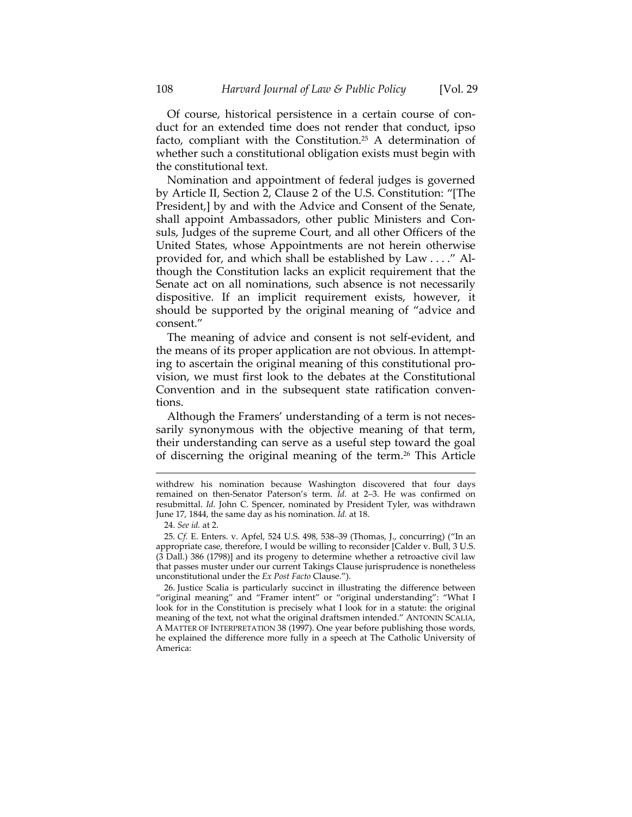Of course, historical persistence in a certain course of con‐ duct for an extended time does not render that conduct, ipso facto, compliant with the Constitution.25 A determination of whether such a constitutional obligation exists must begin with the constitutional text.

Nomination and appointment of federal judges is governed by Article II, Section 2, Clause 2 of the U.S. Constitution: "[The President,] by and with the Advice and Consent of the Senate, shall appoint Ambassadors, other public Ministers and Consuls, Judges of the supreme Court, and all other Officers of the United States, whose Appointments are not herein otherwise provided for, and which shall be established by Law . . . ." Al‐ though the Constitution lacks an explicit requirement that the Senate act on all nominations, such absence is not necessarily dispositive. If an implicit requirement exists, however, it should be supported by the original meaning of "advice and consent."

The meaning of advice and consent is not self‐evident, and the means of its proper application are not obvious. In attempt‐ ing to ascertain the original meaning of this constitutional pro‐ vision, we must first look to the debates at the Constitutional Convention and in the subsequent state ratification conven‐ tions.

Although the Framers' understanding of a term is not necessarily synonymous with the objective meaning of that term, their understanding can serve as a useful step toward the goal of discerning the original meaning of the term.26 This Article

24. *See id.* at 2.

26. Justice Scalia is particularly succinct in illustrating the difference between "original meaning" and "Framer intent" or "original understanding": "What I look for in the Constitution is precisely what I look for in a statute: the original meaning of the text, not what the original draftsmen intended." ANTONIN SCALIA, A MATTER OF INTERPRETATION 38 (1997). One year before publishing those words, he explained the difference more fully in a speech at The Catholic University of America:

withdrew his nomination because Washington discovered that four days remained on then‐Senator Paterson's term. *Id.* at 2–3. He was confirmed on resubmittal. *Id.* John C. Spencer, nominated by President Tyler, was withdrawn June 17, 1844, the same day as his nomination. *Id.* at 18.

<sup>25.</sup> *Cf.* E. Enters. v. Apfel, 524 U.S. 498, 538–39 (Thomas, J., concurring) ("In an appropriate case, therefore, I would be willing to reconsider [Calder v. Bull, 3 U.S. (3 Dall.) 386 (1798)] and its progeny to determine whether a retroactive civil law that passes muster under our current Takings Clause jurisprudence is nonetheless unconstitutional under the *Ex Post Facto* Clause.").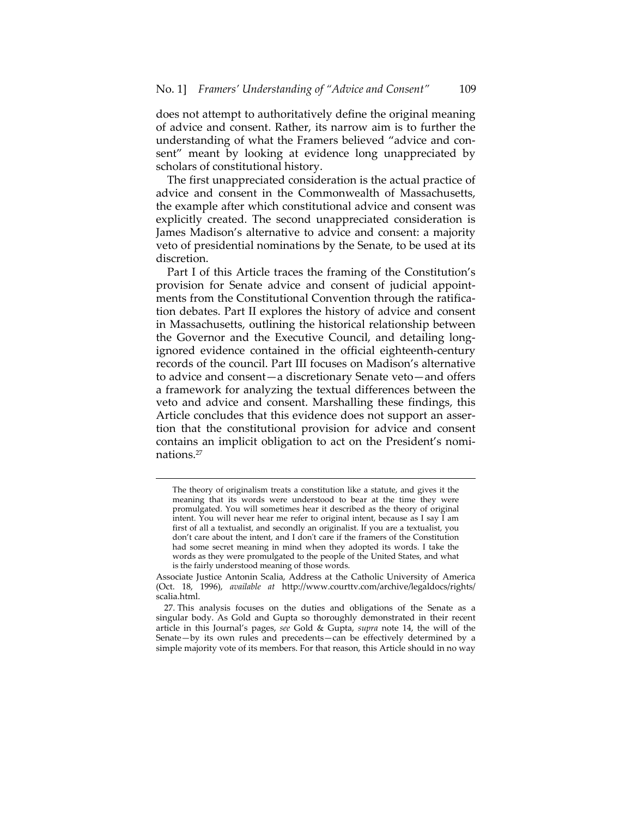does not attempt to authoritatively define the original meaning of advice and consent. Rather, its narrow aim is to further the understanding of what the Framers believed "advice and con‐ sent" meant by looking at evidence long unappreciated by scholars of constitutional history.

The first unappreciated consideration is the actual practice of advice and consent in the Commonwealth of Massachusetts, the example after which constitutional advice and consent was explicitly created. The second unappreciated consideration is James Madison's alternative to advice and consent: a majority veto of presidential nominations by the Senate, to be used at its discretion.

Part I of this Article traces the framing of the Constitution's provision for Senate advice and consent of judicial appoint‐ ments from the Constitutional Convention through the ratification debates. Part II explores the history of advice and consent in Massachusetts, outlining the historical relationship between the Governor and the Executive Council, and detailing long‐ ignored evidence contained in the official eighteenth‐century records of the council. Part III focuses on Madison's alternative to advice and consent—a discretionary Senate veto—and offers a framework for analyzing the textual differences between the veto and advice and consent. Marshalling these findings, this Article concludes that this evidence does not support an asser‐ tion that the constitutional provision for advice and consent contains an implicit obligation to act on the President's nomi‐ nations.27

The theory of originalism treats a constitution like a statute, and gives it the meaning that its words were understood to bear at the time they were promulgated. You will sometimes hear it described as the theory of original intent. You will never hear me refer to original intent, because as I say I am first of all a textualist, and secondly an originalist. If you are a textualist, you don't care about the intent, and I don't care if the framers of the Constitution had some secret meaning in mind when they adopted its words. I take the words as they were promulgated to the people of the United States, and what is the fairly understood meaning of those words.

Associate Justice Antonin Scalia, Address at the Catholic University of America (Oct. 18, 1996), *available at* http://www.courttv.com/archive/legaldocs/rights/ scalia.html.

<sup>27.</sup> This analysis focuses on the duties and obligations of the Senate as a singular body. As Gold and Gupta so thoroughly demonstrated in their recent article in this Journal's pages, *see* Gold & Gupta, *supra* note 14, the will of the Senate—by its own rules and precedents—can be effectively determined by a simple majority vote of its members. For that reason, this Article should in no way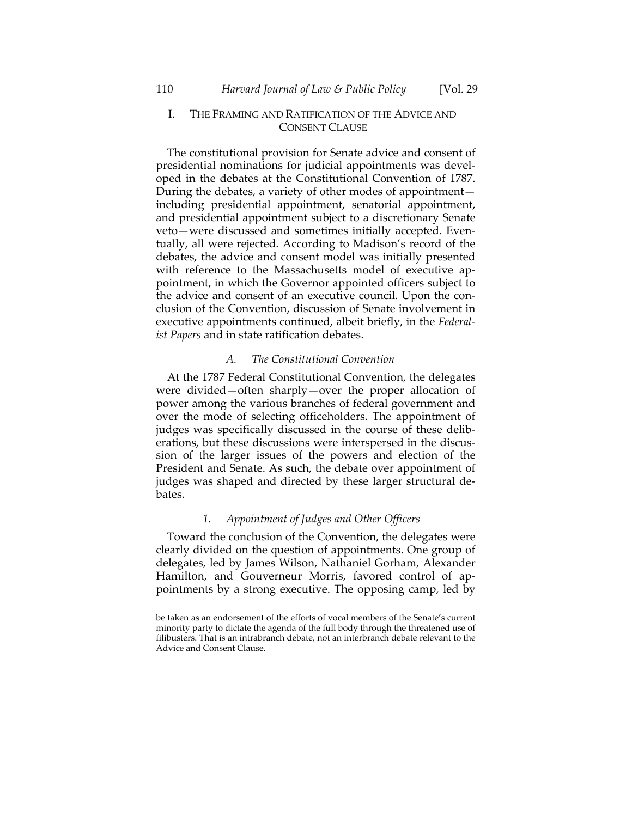# I. THE FRAMING AND RATIFICATION OF THE ADVICE AND CONSENT CLAUSE

The constitutional provision for Senate advice and consent of presidential nominations for judicial appointments was devel‐ oped in the debates at the Constitutional Convention of 1787. During the debates, a variety of other modes of appointment including presidential appointment, senatorial appointment, and presidential appointment subject to a discretionary Senate veto—were discussed and sometimes initially accepted. Even‐ tually, all were rejected. According to Madison's record of the debates, the advice and consent model was initially presented with reference to the Massachusetts model of executive appointment, in which the Governor appointed officers subject to the advice and consent of an executive council. Upon the conclusion of the Convention, discussion of Senate involvement in executive appointments continued, albeit briefly, in the *Federal‐ ist Papers* and in state ratification debates.

# *A. The Constitutional Convention*

At the 1787 Federal Constitutional Convention, the delegates were divided—often sharply—over the proper allocation of power among the various branches of federal government and over the mode of selecting officeholders. The appointment of judges was specifically discussed in the course of these deliberations, but these discussions were interspersed in the discussion of the larger issues of the powers and election of the President and Senate. As such, the debate over appointment of judges was shaped and directed by these larger structural de‐ bates.

# *1. Appointment of Judges and Other Officers*

Toward the conclusion of the Convention, the delegates were clearly divided on the question of appointments. One group of delegates, led by James Wilson, Nathaniel Gorham, Alexander Hamilton, and Gouverneur Morris, favored control of appointments by a strong executive. The opposing camp, led by

be taken as an endorsement of the efforts of vocal members of the Senate's current minority party to dictate the agenda of the full body through the threatened use of filibusters. That is an intrabranch debate, not an interbranch debate relevant to the Advice and Consent Clause.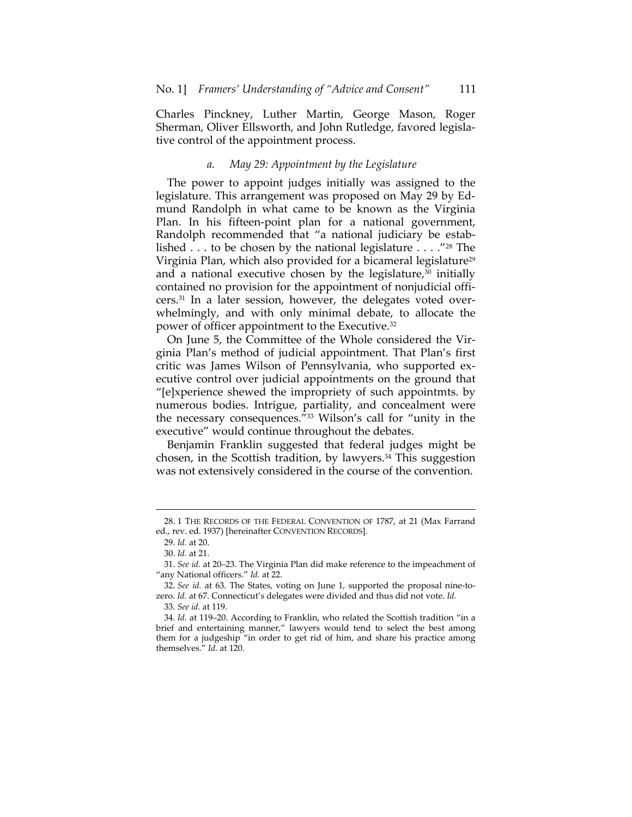Charles Pinckney, Luther Martin, George Mason, Roger Sherman, Oliver Ellsworth, and John Rutledge, favored legisla‐ tive control of the appointment process.

### *a. May 29: Appointment by the Legislature*

The power to appoint judges initially was assigned to the legislature. This arrangement was proposed on May 29 by Ed‐ mund Randolph in what came to be known as the Virginia Plan. In his fifteen‐point plan for a national government, Randolph recommended that "a national judiciary be estab‐ lished  $\dots$  to be chosen by the national legislature  $\dots$  ."<sup>28</sup> The Virginia Plan, which also provided for a bicameral legislature<sup>29</sup> and a national executive chosen by the legislature, $30$  initially contained no provision for the appointment of nonjudicial offi‐ cers.<sup>31</sup> In a later session, however, the delegates voted overwhelmingly, and with only minimal debate, to allocate the power of officer appointment to the Executive.32

On June 5, the Committee of the Whole considered the Vir‐ ginia Plan's method of judicial appointment. That Plan's first critic was James Wilson of Pennsylvania, who supported ex‐ ecutive control over judicial appointments on the ground that "[e]xperience shewed the impropriety of such appointmts. by numerous bodies. Intrigue, partiality, and concealment were the necessary consequences."33 Wilson's call for "unity in the executive" would continue throughout the debates.

Benjamin Franklin suggested that federal judges might be chosen, in the Scottish tradition, by lawyers.<sup>34</sup> This suggestion was not extensively considered in the course of the convention.

33. *See id.* at 119.

<sup>&</sup>lt;u> 1989 - Johann Stein, marwolaethau a bhann an t-Amhain an t-Amhain an t-Amhain an t-Amhain an t-Amhain an t-A</u> 28. 1 THE RECORDS OF THE FEDERAL CONVENTION OF 1787, at 21 (Max Farrand ed., rev. ed. 1937) [hereinafter CONVENTION RECORDS].

<sup>29.</sup> *Id.* at 20.

<sup>30.</sup> *Id.* at 21.

<sup>31.</sup> *See id.* at 20–23. The Virginia Plan did make reference to the impeachment of "any National officers." *Id.* at 22.

<sup>32.</sup> *See id.* at 63. The States, voting on June 1, supported the proposal nine‐to‐ zero. *Id.* at 67. Connecticut's delegates were divided and thus did not vote. *Id.*

<sup>34.</sup> *Id.* at 119–20. According to Franklin, who related the Scottish tradition "in a brief and entertaining manner," lawyers would tend to select the best among them for a judgeship "in order to get rid of him, and share his practice among themselves." *Id.* at 120.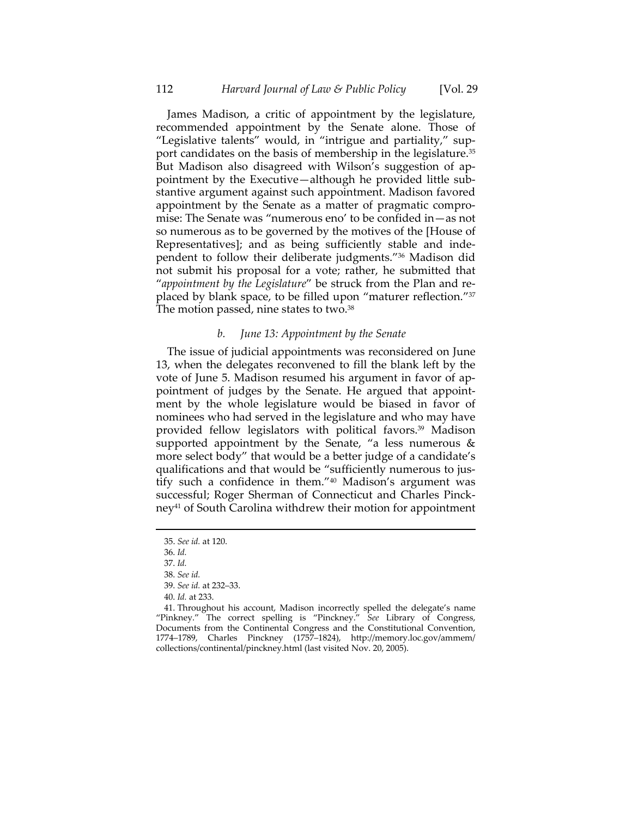James Madison, a critic of appointment by the legislature, recommended appointment by the Senate alone. Those of "Legislative talents" would, in "intrigue and partiality," sup‐ port candidates on the basis of membership in the legislature.<sup>35</sup> But Madison also disagreed with Wilson's suggestion of appointment by the Executive—although he provided little sub‐ stantive argument against such appointment. Madison favored appointment by the Senate as a matter of pragmatic compro‐ mise: The Senate was "numerous eno' to be confided in—as not so numerous as to be governed by the motives of the [House of Representatives]; and as being sufficiently stable and inde‐ pendent to follow their deliberate judgments."36 Madison did not submit his proposal for a vote; rather, he submitted that "*appointment by the Legislature*" be struck from the Plan and re‐ placed by blank space, to be filled upon "maturer reflection."37 The motion passed, nine states to two.<sup>38</sup>

### *b. June 13: Appointment by the Senate*

The issue of judicial appointments was reconsidered on June 13, when the delegates reconvened to fill the blank left by the vote of June 5. Madison resumed his argument in favor of ap‐ pointment of judges by the Senate. He argued that appoint‐ ment by the whole legislature would be biased in favor of nominees who had served in the legislature and who may have provided fellow legislators with political favors.<sup>39</sup> Madison supported appointment by the Senate, "a less numerous  $\&$ more select body" that would be a better judge of a candidate's qualifications and that would be "sufficiently numerous to jus‐ tify such a confidence in them."40 Madison's argument was successful; Roger Sherman of Connecticut and Charles Pinck‐ ney<sup>41</sup> of South Carolina withdrew their motion for appointment

<sup>35.</sup> *See id.* at 120.

<sup>36.</sup> *Id.*

<sup>37.</sup> *Id.*

<sup>38.</sup> *See id.*

<sup>39.</sup> *See id.* at 232–33.

<sup>40.</sup> *Id.* at 233.

<sup>41.</sup> Throughout his account, Madison incorrectly spelled the delegate's name "Pinkney." The correct spelling is "Pinckney." *See* Library of Congress, Documents from the Continental Congress and the Constitutional Convention, 1774–1789, Charles Pinckney (1757–1824), http://memory.loc.gov/ammem/ collections/continental/pinckney.html (last visited Nov. 20, 2005).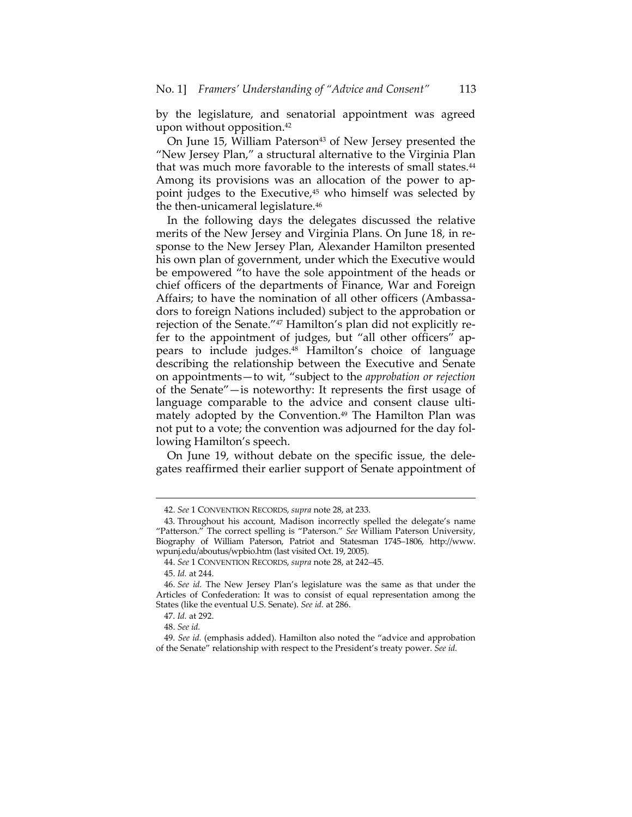by the legislature, and senatorial appointment was agreed upon without opposition.42

On June 15, William Paterson<sup>43</sup> of New Jersey presented the "New Jersey Plan," a structural alternative to the Virginia Plan that was much more favorable to the interests of small states.<sup>44</sup> Among its provisions was an allocation of the power to ap‐ point judges to the Executive,<sup>45</sup> who himself was selected by the then-unicameral legislature.<sup>46</sup>

In the following days the delegates discussed the relative merits of the New Jersey and Virginia Plans. On June 18, in response to the New Jersey Plan, Alexander Hamilton presented his own plan of government, under which the Executive would be empowered "to have the sole appointment of the heads or chief officers of the departments of Finance, War and Foreign Affairs; to have the nomination of all other officers (Ambassa‐ dors to foreign Nations included) subject to the approbation or rejection of the Senate."<sup>47</sup> Hamilton's plan did not explicitly refer to the appointment of judges, but "all other officers" appears to include judges.48 Hamilton's choice of language describing the relationship between the Executive and Senate on appointments—to wit, "subject to the *approbation or rejection* of the Senate"—is noteworthy: It represents the first usage of language comparable to the advice and consent clause ultimately adopted by the Convention.<sup>49</sup> The Hamilton Plan was not put to a vote; the convention was adjourned for the day fol‐ lowing Hamilton's speech.

On June 19, without debate on the specific issue, the dele‐ gates reaffirmed their earlier support of Senate appointment of

<sup>42.</sup> *See* 1 CONVENTION RECORDS, *supra* note 28, at 233.

<sup>43.</sup> Throughout his account, Madison incorrectly spelled the delegate's name "Patterson." The correct spelling is "Paterson." *See* William Paterson University, Biography of William Paterson, Patriot and Statesman 1745–1806, http://www. wpunj.edu/aboutus/wpbio.htm (last visited Oct. 19, 2005).

<sup>44.</sup> *See* 1 CONVENTION RECORDS, *supra* note 28, at 242–45.

<sup>45.</sup> *Id.* at 244.

<sup>46.</sup> *See id.* The New Jersey Plan's legislature was the same as that under the Articles of Confederation: It was to consist of equal representation among the States (like the eventual U.S. Senate). *See id.* at 286.

<sup>47.</sup> *Id.* at 292.

<sup>48.</sup> *See id.*

<sup>49.</sup> *See id.* (emphasis added). Hamilton also noted the "advice and approbation of the Senate" relationship with respect to the President's treaty power. *See id.*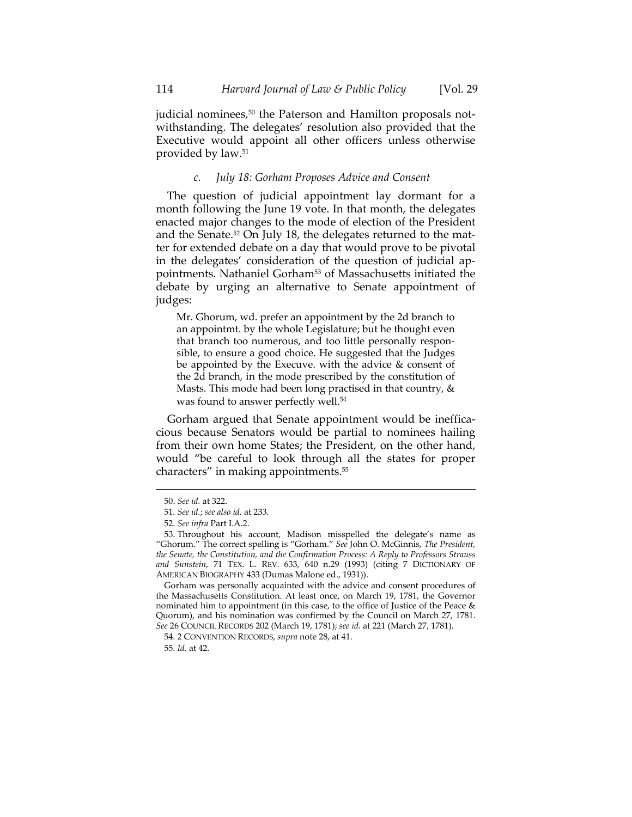judicial nominees,<sup>50</sup> the Paterson and Hamilton proposals notwithstanding. The delegates' resolution also provided that the Executive would appoint all other officers unless otherwise provided by law.51

# *c. July 18: Gorham Proposes Advice and Consent*

The question of judicial appointment lay dormant for a month following the June 19 vote. In that month, the delegates enacted major changes to the mode of election of the President and the Senate.<sup>52</sup> On July 18, the delegates returned to the matter for extended debate on a day that would prove to be pivotal in the delegates' consideration of the question of judicial ap‐ pointments. Nathaniel Gorham<sup>53</sup> of Massachusetts initiated the debate by urging an alternative to Senate appointment of judges:

Mr. Ghorum, wd. prefer an appointment by the 2d branch to an appointmt. by the whole Legislature; but he thought even that branch too numerous, and too little personally respon‐ sible, to ensure a good choice. He suggested that the Judges be appointed by the Execuve. with the advice & consent of the 2d branch, in the mode prescribed by the constitution of Masts. This mode had been long practised in that country,  $\&$ was found to answer perfectly well.<sup>54</sup>

Gorham argued that Senate appointment would be ineffica‐ cious because Senators would be partial to nominees hailing from their own home States; the President, on the other hand, would "be careful to look through all the states for proper characters" in making appointments.55

<u> 1989 - Johann Stein, marwolaethau a bhann an t-Amhain an t-Amhain an t-Amhain an t-Amhain an t-Amhain an t-A</u>

Gorham was personally acquainted with the advice and consent procedures of the Massachusetts Constitution. At least once, on March 19, 1781, the Governor nominated him to appointment (in this case, to the office of Justice of the Peace & Quorum), and his nomination was confirmed by the Council on March 27, 1781. *See* 26 COUNCIL RECORDS 202 (March 19, 1781); *see id.* at 221 (March 27, 1781).

<sup>50.</sup> *See id.* at 322.

<sup>51.</sup> *See id.*; *see also id.* at 233.

<sup>52.</sup> *See infra* Part I.A.2.

<sup>53.</sup> Throughout his account, Madison misspelled the delegate's name as "Ghorum." The correct spelling is "Gorham." *See* John O. McGinnis, *The President, the Senate, the Constitution, and the Confirmation Process: A Reply to Professors Strauss and Sunstein*, 71 TEX. L. REV. 633, 640 n.29 (1993) (citing 7 DICTIONARY OF AMERICAN BIOGRAPHY 433 (Dumas Malone ed., 1931)).

<sup>54.</sup> 2 CONVENTION RECORDS, *supra* note 28, at 41.

<sup>55.</sup> *Id.* at 42.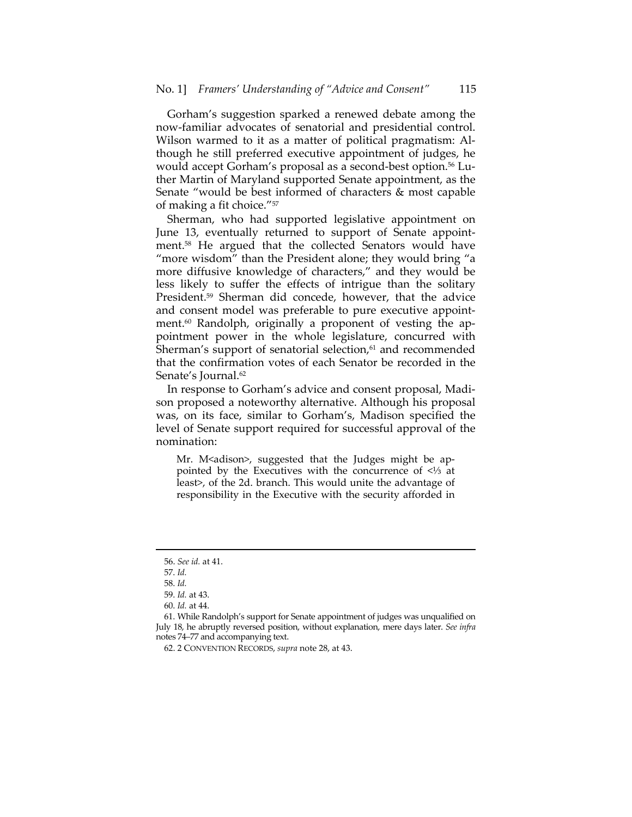Gorham's suggestion sparked a renewed debate among the now‐familiar advocates of senatorial and presidential control. Wilson warmed to it as a matter of political pragmatism: Al‐ though he still preferred executive appointment of judges, he would accept Gorham's proposal as a second-best option.<sup>56</sup> Luther Martin of Maryland supported Senate appointment, as the Senate "would be best informed of characters & most capable of making a fit choice."57

Sherman, who had supported legislative appointment on June 13, eventually returned to support of Senate appoint‐ ment.58 He argued that the collected Senators would have "more wisdom" than the President alone; they would bring "a more diffusive knowledge of characters," and they would be less likely to suffer the effects of intrigue than the solitary President.59 Sherman did concede, however, that the advice and consent model was preferable to pure executive appoint‐ ment.<sup>60</sup> Randolph, originally a proponent of vesting the appointment power in the whole legislature, concurred with Sherman's support of senatorial selection, $61$  and recommended that the confirmation votes of each Senator be recorded in the Senate's Journal.<sup>62</sup>

In response to Gorham's advice and consent proposal, Madi‐ son proposed a noteworthy alternative. Although his proposal was, on its face, similar to Gorham's, Madison specified the level of Senate support required for successful approval of the nomination:

Mr. M<adison>, suggested that the Judges might be appointed by the Executives with the concurrence of <⅓ at least>, of the 2d. branch. This would unite the advantage of responsibility in the Executive with the security afforded in

<sup>56.</sup> *See id.* at 41.

<sup>57.</sup> *Id.*

<sup>58.</sup> *Id.*

<sup>59.</sup> *Id.* at 43.

<sup>60.</sup> *Id.* at 44.

<sup>61.</sup> While Randolph's support for Senate appointment of judges was unqualified on July 18, he abruptly reversed position, without explanation, mere days later. *See infra* notes 74–77 and accompanying text.

<sup>62.</sup> 2 CONVENTION RECORDS, *supra* note 28, at 43.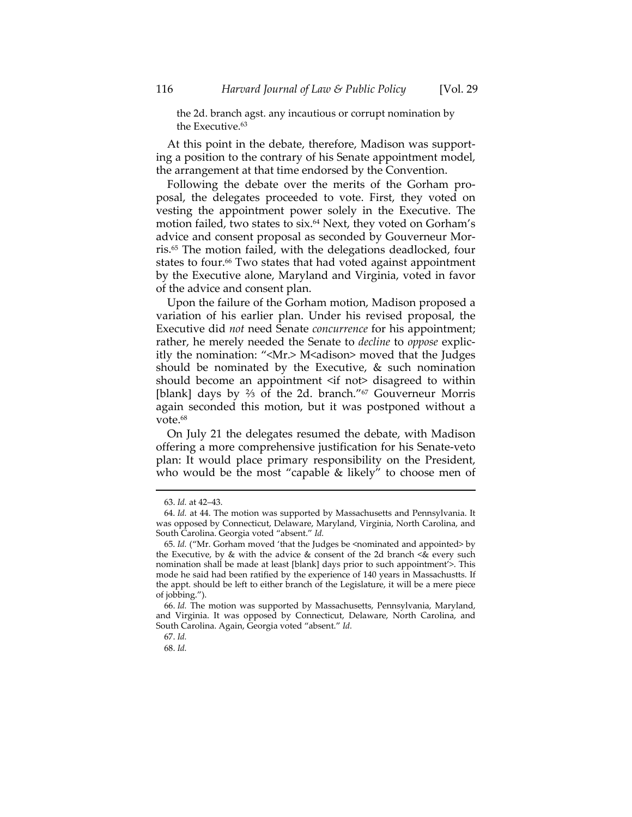the 2d. branch agst. any incautious or corrupt nomination by the Executive.<sup>63</sup>

At this point in the debate, therefore, Madison was support‐ ing a position to the contrary of his Senate appointment model, the arrangement at that time endorsed by the Convention.

Following the debate over the merits of the Gorham pro‐ posal, the delegates proceeded to vote. First, they voted on vesting the appointment power solely in the Executive. The motion failed, two states to six.<sup>64</sup> Next, they voted on Gorham's advice and consent proposal as seconded by Gouverneur Morris.65 The motion failed, with the delegations deadlocked, four states to four.<sup>66</sup> Two states that had voted against appointment by the Executive alone, Maryland and Virginia, voted in favor of the advice and consent plan.

Upon the failure of the Gorham motion, Madison proposed a variation of his earlier plan. Under his revised proposal, the Executive did *not* need Senate *concurrence* for his appointment; rather, he merely needed the Senate to *decline* to *oppose* explic‐ itly the nomination: " $\leq Mr$ .> M $\leq$ dison> moved that the Judges should be nominated by the Executive, & such nomination should become an appointment <if not> disagreed to within [blank] days by <sup>2</sup>/<sub>3</sub> of the 2d. branch."<sup>67</sup> Gouverneur Morris again seconded this motion, but it was postponed without a vote.68

On July 21 the delegates resumed the debate, with Madison offering a more comprehensive justification for his Senate‐veto plan: It would place primary responsibility on the President, who would be the most "capable & likely" to choose men of

<sup>63.</sup> *Id.* at 42–43.

<sup>64.</sup> *Id.* at 44. The motion was supported by Massachusetts and Pennsylvania. It was opposed by Connecticut, Delaware, Maryland, Virginia, North Carolina, and South Carolina. Georgia voted "absent." *Id.*

<sup>65.</sup> *Id.* ("Mr. Gorham moved 'that the Judges be <nominated and appointed> by the Executive, by  $\&$  with the advice  $\&$  consent of the 2d branch  $\&$  every such nomination shall be made at least [blank] days prior to such appointment'>. This mode he said had been ratified by the experience of 140 years in Massachustts. If the appt. should be left to either branch of the Legislature, it will be a mere piece of jobbing.").

<sup>66.</sup> *Id.* The motion was supported by Massachusetts, Pennsylvania, Maryland, and Virginia. It was opposed by Connecticut, Delaware, North Carolina, and South Carolina. Again, Georgia voted "absent." *Id.*

<sup>67.</sup> *Id.*

<sup>68.</sup> *Id.*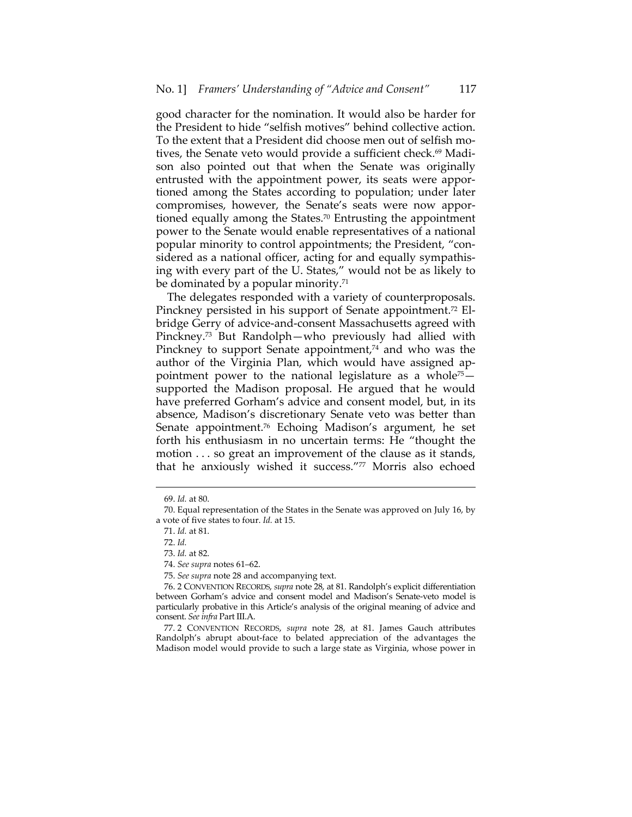good character for the nomination. It would also be harder for the President to hide "selfish motives" behind collective action. To the extent that a President did choose men out of selfish mo‐ tives, the Senate veto would provide a sufficient check.<sup>69</sup> Madison also pointed out that when the Senate was originally entrusted with the appointment power, its seats were appor‐ tioned among the States according to population; under later compromises, however, the Senate's seats were now appor‐ tioned equally among the States.<sup>70</sup> Entrusting the appointment power to the Senate would enable representatives of a national popular minority to control appointments; the President, "con‐ sidered as a national officer, acting for and equally sympathis‐ ing with every part of the U. States," would not be as likely to be dominated by a popular minority.<sup>71</sup>

The delegates responded with a variety of counterproposals. Pinckney persisted in his support of Senate appointment.<sup>72</sup> Elbridge Gerry of advice‐and‐consent Massachusetts agreed with Pinckney.73 But Randolph—who previously had allied with Pinckney to support Senate appointment,<sup>74</sup> and who was the author of the Virginia Plan, which would have assigned ap‐ pointment power to the national legislature as a whole<sup> $75$ </sup> supported the Madison proposal. He argued that he would have preferred Gorham's advice and consent model, but, in its absence, Madison's discretionary Senate veto was better than Senate appointment.76 Echoing Madison's argument, he set forth his enthusiasm in no uncertain terms: He "thought the motion . . . so great an improvement of the clause as it stands, that he anxiously wished it success."77 Morris also echoed

<sup>69.</sup> *Id.* at 80.

<sup>70.</sup> Equal representation of the States in the Senate was approved on July 16, by a vote of five states to four. *Id.* at 15.

<sup>71.</sup> *Id.* at 81.

<sup>72.</sup> *Id.*

<sup>73.</sup> *Id.* at 82.

<sup>74.</sup> *See supra* notes 61–62.

<sup>75.</sup> *See supra* note 28 and accompanying text.

<sup>76.</sup> 2 CONVENTION RECORDS, *supra* note 28, at 81. Randolph's explicit differentiation between Gorham's advice and consent model and Madison's Senate‐veto model is particularly probative in this Article's analysis of the original meaning of advice and consent. *See infra* Part III.A.

<sup>77.</sup> 2 CONVENTION RECORDS, *supra* note 28, at 81. James Gauch attributes Randolph's abrupt about-face to belated appreciation of the advantages the Madison model would provide to such a large state as Virginia, whose power in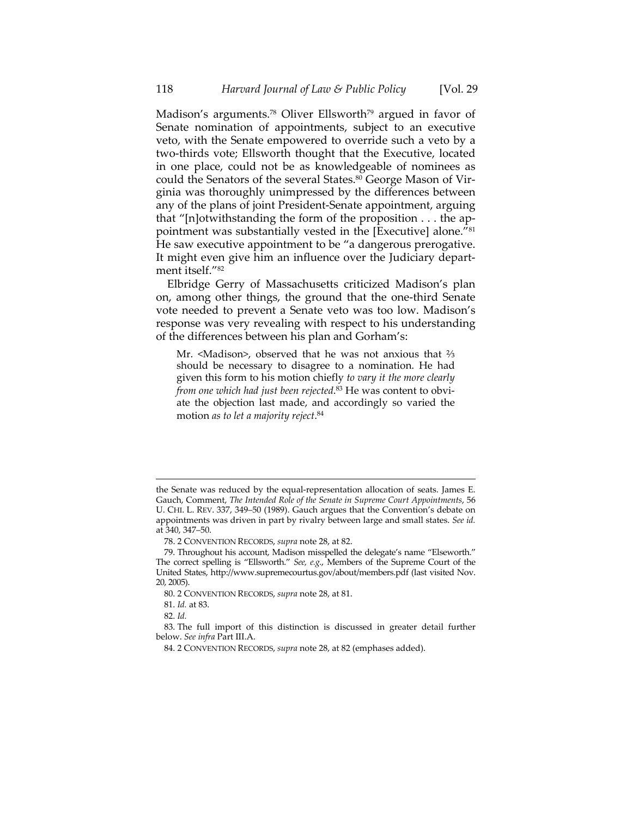Madison's arguments.<sup>78</sup> Oliver Ellsworth<sup>79</sup> argued in favor of Senate nomination of appointments, subject to an executive veto, with the Senate empowered to override such a veto by a two‐thirds vote; Ellsworth thought that the Executive, located in one place, could not be as knowledgeable of nominees as could the Senators of the several States.80 George Mason of Virginia was thoroughly unimpressed by the differences between any of the plans of joint President‐Senate appointment, arguing that "[n]otwithstanding the form of the proposition . . . the ap‐ pointment was substantially vested in the [Executive] alone."<sup>81</sup> He saw executive appointment to be "a dangerous prerogative. It might even give him an influence over the Judiciary depart‐ ment itself."82

Elbridge Gerry of Massachusetts criticized Madison's plan on, among other things, the ground that the one‐third Senate vote needed to prevent a Senate veto was too low. Madison's response was very revealing with respect to his understanding of the differences between his plan and Gorham's:

Mr. <Madison>, observed that he was not anxious that  $\frac{2}{3}$ should be necessary to disagree to a nomination. He had given this form to his motion chiefly *to vary it the more clearly from one which had just been rejected*. <sup>83</sup> He was content to obvi‐ ate the objection last made, and accordingly so varied the motion *as to let a majority reject*. 84

the Senate was reduced by the equal‐representation allocation of seats. James E. Gauch, Comment, *The Intended Role of the Senate in Supreme Court Appointments*, 56 U. CHI. L. REV. 337, 349–50 (1989). Gauch argues that the Convention's debate on appointments was driven in part by rivalry between large and small states. *See id.* at 340, 347–50.

<sup>78.</sup> 2 CONVENTION RECORDS, *supra* note 28, at 82.

<sup>79.</sup> Throughout his account, Madison misspelled the delegate's name "Elseworth." The correct spelling is "Ellsworth." *See, e.g.*, Members of the Supreme Court of the United States, http://www.supremecourtus.gov/about/members.pdf (last visited Nov. 20, 2005).

<sup>80.</sup> 2 CONVENTION RECORDS, *supra* note 28, at 81.

<sup>81.</sup> *Id.* at 83.

<sup>82.</sup> *Id.*

<sup>83.</sup> The full import of this distinction is discussed in greater detail further below. *See infra* Part III.A.

<sup>84.</sup> 2 CONVENTION RECORDS, *supra* note 28, at 82 (emphases added).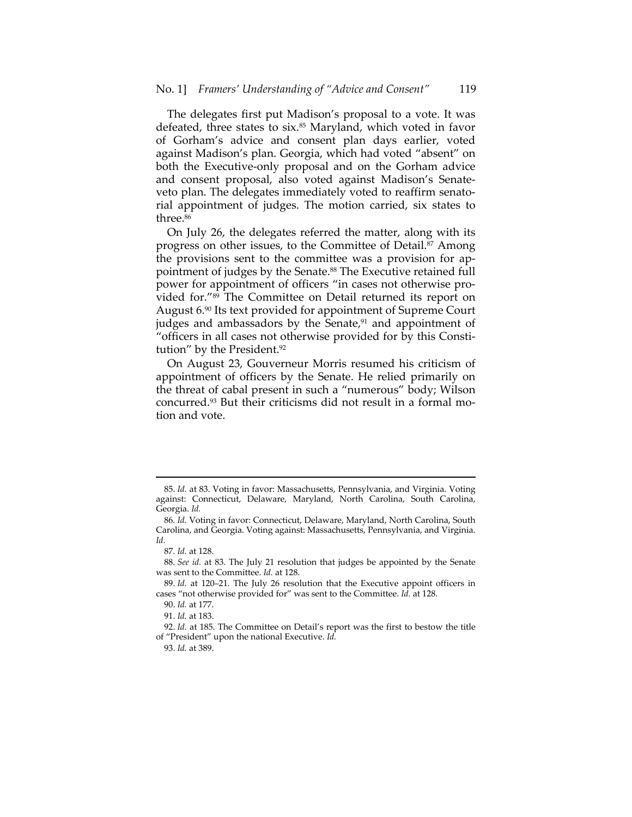The delegates first put Madison's proposal to a vote. It was defeated, three states to six.<sup>85</sup> Maryland, which voted in favor of Gorham's advice and consent plan days earlier, voted against Madison's plan. Georgia, which had voted "absent" on both the Executive‐only proposal and on the Gorham advice and consent proposal, also voted against Madison's Senate‐ veto plan. The delegates immediately voted to reaffirm senato‐ rial appointment of judges. The motion carried, six states to three.<sup>86</sup>

On July 26, the delegates referred the matter, along with its progress on other issues, to the Committee of Detail.<sup>87</sup> Among the provisions sent to the committee was a provision for ap‐ pointment of judges by the Senate.<sup>88</sup> The Executive retained full power for appointment of officers "in cases not otherwise pro‐ vided for."89 The Committee on Detail returned its report on August 6.90 Its text provided for appointment of Supreme Court judges and ambassadors by the Senate, $91$  and appointment of "officers in all cases not otherwise provided for by this Consti‐ tution" by the President.<sup>92</sup>

On August 23, Gouverneur Morris resumed his criticism of appointment of officers by the Senate. He relied primarily on the threat of cabal present in such a "numerous" body; Wilson concurred.93 But their criticisms did not result in a formal mo‐ tion and vote.

<sup>85.</sup> *Id.* at 83. Voting in favor: Massachusetts, Pennsylvania, and Virginia. Voting against: Connecticut, Delaware, Maryland, North Carolina, South Carolina, Georgia. *Id.*

<sup>86.</sup> *Id.* Voting in favor: Connecticut, Delaware, Maryland, North Carolina, South Carolina, and Georgia. Voting against: Massachusetts, Pennsylvania, and Virginia. *Id.*

<sup>87.</sup> *Id.* at 128.

<sup>88.</sup> *See id.* at 83. The July 21 resolution that judges be appointed by the Senate was sent to the Committee. *Id.* at 128.

<sup>89.</sup> *Id.* at 120–21. The July 26 resolution that the Executive appoint officers in cases "not otherwise provided for" was sent to the Committee. *Id.* at 128.

<sup>90.</sup> *Id.* at 177.

<sup>91.</sup> *Id.* at 183.

<sup>92.</sup> *Id.* at 185. The Committee on Detail's report was the first to bestow the title of "President" upon the national Executive. *Id.*

<sup>93.</sup> *Id.* at 389.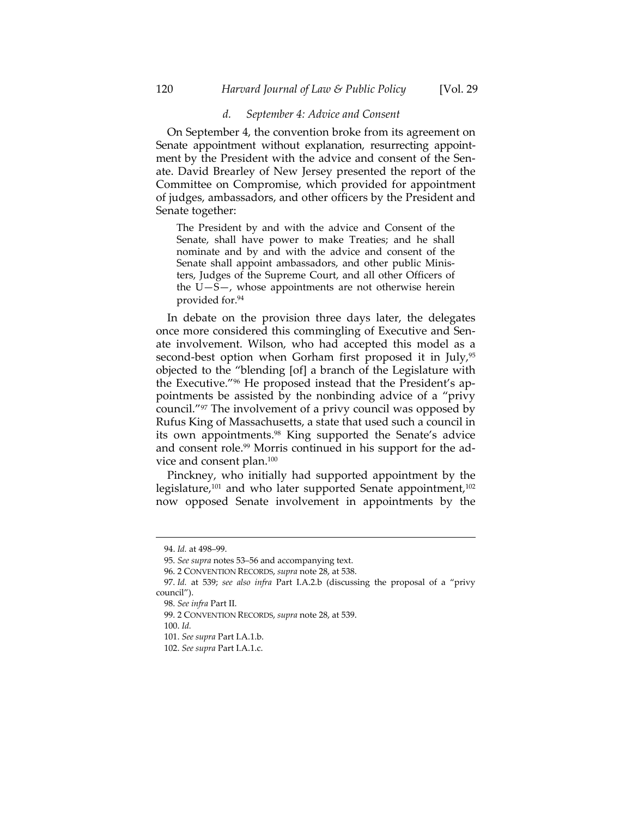#### *d. September 4: Advice and Consent*

On September 4, the convention broke from its agreement on Senate appointment without explanation, resurrecting appointment by the President with the advice and consent of the Senate. David Brearley of New Jersey presented the report of the Committee on Compromise, which provided for appointment of judges, ambassadors, and other officers by the President and Senate together:

The President by and with the advice and Consent of the Senate, shall have power to make Treaties; and he shall nominate and by and with the advice and consent of the Senate shall appoint ambassadors, and other public Minis‐ ters, Judges of the Supreme Court, and all other Officers of the U—S—, whose appointments are not otherwise herein provided for.94

In debate on the provision three days later, the delegates once more considered this commingling of Executive and Sen‐ ate involvement. Wilson, who had accepted this model as a second-best option when Gorham first proposed it in July,<sup>95</sup> objected to the "blending [of] a branch of the Legislature with the Executive."96 He proposed instead that the President's ap‐ pointments be assisted by the nonbinding advice of a "privy council."97 The involvement of a privy council was opposed by Rufus King of Massachusetts, a state that used such a council in its own appointments.<sup>98</sup> King supported the Senate's advice and consent role.<sup>99</sup> Morris continued in his support for the advice and consent plan.100

Pinckney, who initially had supported appointment by the legislature,<sup>101</sup> and who later supported Senate appointment,<sup>102</sup> now opposed Senate involvement in appointments by the

<sup>94.</sup> *Id.* at 498–99.

<sup>95.</sup> *See supra* notes 53–56 and accompanying text.

<sup>96.</sup> 2 CONVENTION RECORDS, *supra* note 28, at 538.

<sup>97.</sup> *Id.* at 539; *see also infra* Part I.A.2.b (discussing the proposal of a "privy council").

<sup>98.</sup> *See infra* Part II.

<sup>99.</sup> 2 CONVENTION RECORDS, *supra* note 28, at 539.

<sup>100.</sup> *Id.*

<sup>101.</sup> *See supra* Part I.A.1.b.

<sup>102.</sup> *See supra* Part I.A.1.c.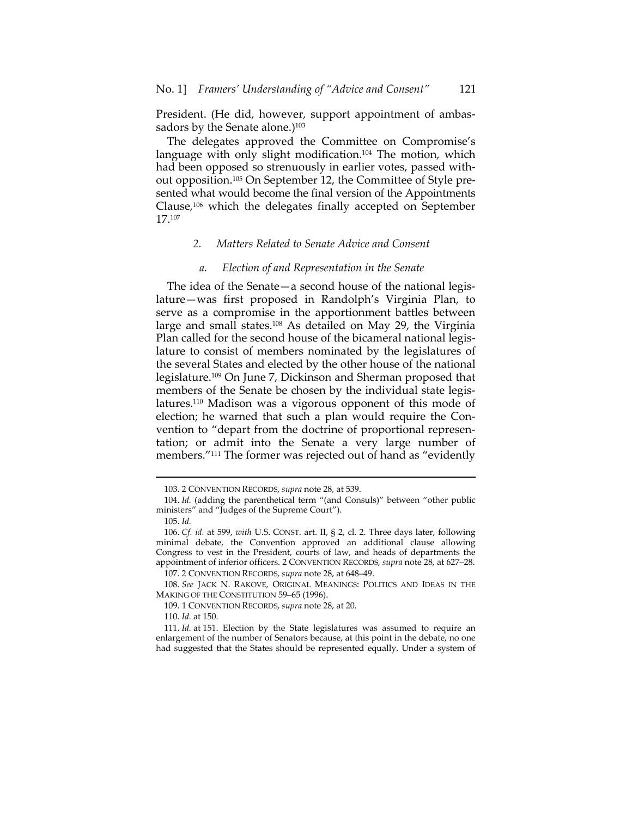President. (He did, however, support appointment of ambassadors by the Senate alone.)<sup>103</sup>

The delegates approved the Committee on Compromise's language with only slight modification.<sup>104</sup> The motion, which had been opposed so strenuously in earlier votes, passed without opposition.<sup>105</sup> On September 12, the Committee of Style presented what would become the final version of the Appointments Clause,106 which the delegates finally accepted on September 17.107

# *2. Matters Related to Senate Advice and Consent*

### *a. Election of and Representation in the Senate*

The idea of the Senate—a second house of the national legis‐ lature—was first proposed in Randolph's Virginia Plan, to serve as a compromise in the apportionment battles between large and small states.108 As detailed on May 29, the Virginia Plan called for the second house of the bicameral national legis‐ lature to consist of members nominated by the legislatures of the several States and elected by the other house of the national legislature.109 On June 7, Dickinson and Sherman proposed that members of the Senate be chosen by the individual state legislatures.110 Madison was a vigorous opponent of this mode of election; he warned that such a plan would require the Con‐ vention to "depart from the doctrine of proportional represen‐ tation; or admit into the Senate a very large number of members."111 The former was rejected out of hand as "evidently

<sup>103.</sup> 2 CONVENTION RECORDS, *supra* note 28, at 539.

<sup>104.</sup> *Id.* (adding the parenthetical term "(and Consuls)" between "other public ministers" and "Judges of the Supreme Court").

<sup>105.</sup> *Id.*

<sup>106.</sup> *Cf. id.* at 599, *with* U.S. CONST. art. II, § 2, cl. 2. Three days later, following minimal debate, the Convention approved an additional clause allowing Congress to vest in the President, courts of law, and heads of departments the appointment of inferior officers. 2 CONVENTION RECORDS, *supra* note 28, at 627–28.

<sup>107.</sup> 2 CONVENTION RECORDS, *supra* note 28, at 648–49.

<sup>108.</sup> *See* JACK N. RAKOVE, ORIGINAL MEANINGS: POLITICS AND IDEAS IN THE MAKING OF THE CONSTITUTION 59–65 (1996).

<sup>109.</sup> 1 CONVENTION RECORDS, *supra* note 28, at 20.

<sup>110.</sup> *Id.* at 150.

<sup>111.</sup> *Id.* at 151. Election by the State legislatures was assumed to require an enlargement of the number of Senators because, at this point in the debate, no one had suggested that the States should be represented equally. Under a system of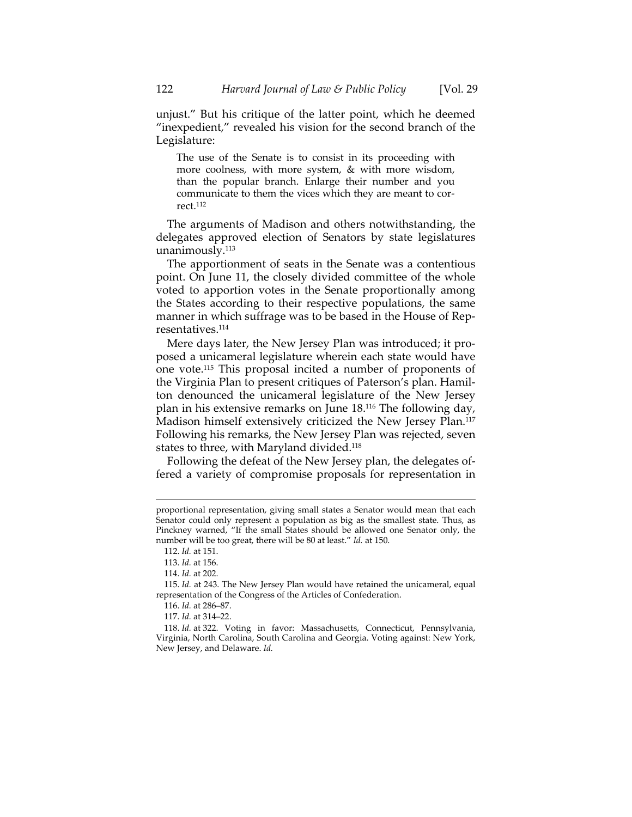unjust." But his critique of the latter point, which he deemed "inexpedient," revealed his vision for the second branch of the Legislature:

The use of the Senate is to consist in its proceeding with more coolness, with more system, & with more wisdom, than the popular branch. Enlarge their number and you communicate to them the vices which they are meant to correct.112

The arguments of Madison and others notwithstanding, the delegates approved election of Senators by state legislatures unanimously.<sup>113</sup>

The apportionment of seats in the Senate was a contentious point. On June 11, the closely divided committee of the whole voted to apportion votes in the Senate proportionally among the States according to their respective populations, the same manner in which suffrage was to be based in the House of Representatives.114

Mere days later, the New Jersey Plan was introduced; it proposed a unicameral legislature wherein each state would have one vote.115 This proposal incited a number of proponents of the Virginia Plan to present critiques of Paterson's plan. Hamil‐ ton denounced the unicameral legislature of the New Jersey plan in his extensive remarks on June 18.116 The following day, Madison himself extensively criticized the New Jersey Plan.117 Following his remarks, the New Jersey Plan was rejected, seven states to three, with Maryland divided.<sup>118</sup>

Following the defeat of the New Jersey plan, the delegates of‐ fered a variety of compromise proposals for representation in

proportional representation, giving small states a Senator would mean that each Senator could only represent a population as big as the smallest state. Thus, as Pinckney warned, "If the small States should be allowed one Senator only, the number will be too great, there will be 80 at least." *Id.* at 150.

<sup>112.</sup> *Id.* at 151.

<sup>113.</sup> *Id.* at 156.

<sup>114.</sup> *Id.* at 202.

<sup>115.</sup> *Id.* at 243. The New Jersey Plan would have retained the unicameral, equal representation of the Congress of the Articles of Confederation.

<sup>116.</sup> *Id.* at 286–87.

<sup>117.</sup> *Id.* at 314–22.

<sup>118.</sup> *Id.* at 322. Voting in favor: Massachusetts, Connecticut, Pennsylvania, Virginia, North Carolina, South Carolina and Georgia. Voting against: New York, New Jersey, and Delaware. *Id.*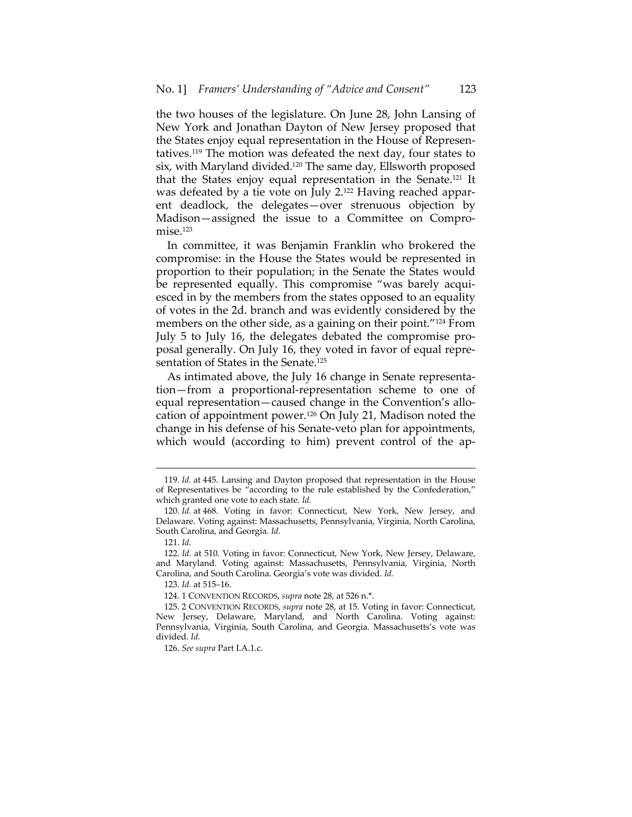the two houses of the legislature. On June 28, John Lansing of New York and Jonathan Dayton of New Jersey proposed that the States enjoy equal representation in the House of Represen‐ tatives.119 The motion was defeated the next day, four states to six, with Maryland divided.120 The same day, Ellsworth proposed that the States enjoy equal representation in the Senate.121 It was defeated by a tie vote on July 2.<sup>122</sup> Having reached apparent deadlock, the delegates—over strenuous objection by Madison—assigned the issue to a Committee on Compro‐ mise.123

In committee, it was Benjamin Franklin who brokered the compromise: in the House the States would be represented in proportion to their population; in the Senate the States would be represented equally. This compromise "was barely acquiesced in by the members from the states opposed to an equality of votes in the 2d. branch and was evidently considered by the members on the other side, as a gaining on their point."124 From July 5 to July 16, the delegates debated the compromise pro‐ posal generally. On July 16, they voted in favor of equal repre‐ sentation of States in the Senate.125

As intimated above, the July 16 change in Senate representa‐ tion—from a proportional‐representation scheme to one of equal representation—caused change in the Convention's allo‐ cation of appointment power.126 On July 21, Madison noted the change in his defense of his Senate‐veto plan for appointments, which would (according to him) prevent control of the ap-

<sup>119.</sup> *Id.* at 445. Lansing and Dayton proposed that representation in the House of Representatives be "according to the rule established by the Confederation," which granted one vote to each state. *Id.*

<sup>120.</sup> *Id.* at 468. Voting in favor: Connecticut, New York, New Jersey, and Delaware. Voting against: Massachusetts, Pennsylvania, Virginia, North Carolina, South Carolina, and Georgia. *Id.*

<sup>121.</sup> *Id.*

<sup>122.</sup> *Id.* at 510. Voting in favor: Connecticut, New York, New Jersey, Delaware, and Maryland. Voting against: Massachusetts, Pennsylvania, Virginia, North Carolina, and South Carolina. Georgia's vote was divided. *Id.*

<sup>123.</sup> *Id.* at 515–16.

<sup>124.</sup> 1 CONVENTION RECORDS, *supra* note 28, at 526 n.\*.

<sup>125.</sup> 2 CONVENTION RECORDS, *supra* note 28, at 15. Voting in favor: Connecticut, New Jersey, Delaware, Maryland, and North Carolina. Voting against: Pennsylvania, Virginia, South Carolina, and Georgia. Massachusetts's vote was divided. *Id.*

<sup>126.</sup> *See supra* Part I.A.1.c.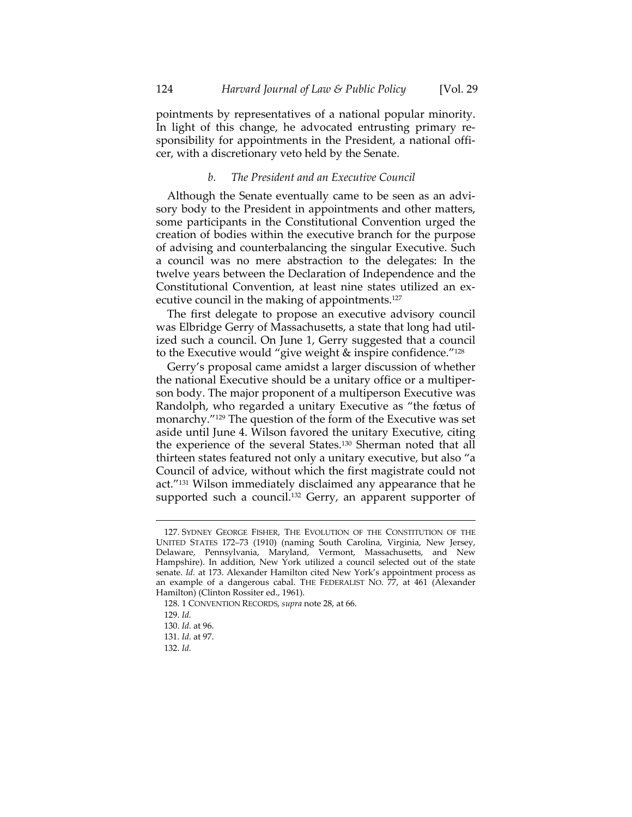pointments by representatives of a national popular minority. In light of this change, he advocated entrusting primary responsibility for appointments in the President, a national officer, with a discretionary veto held by the Senate.

# *b. The President and an Executive Council*

Although the Senate eventually came to be seen as an advi‐ sory body to the President in appointments and other matters, some participants in the Constitutional Convention urged the creation of bodies within the executive branch for the purpose of advising and counterbalancing the singular Executive. Such a council was no mere abstraction to the delegates: In the twelve years between the Declaration of Independence and the Constitutional Convention, at least nine states utilized an ex‐ ecutive council in the making of appointments.<sup>127</sup>

The first delegate to propose an executive advisory council was Elbridge Gerry of Massachusetts, a state that long had util‐ ized such a council. On June 1, Gerry suggested that a council to the Executive would "give weight & inspire confidence."128

Gerry's proposal came amidst a larger discussion of whether the national Executive should be a unitary office or a multiper‐ son body. The major proponent of a multiperson Executive was Randolph, who regarded a unitary Executive as "the fœtus of monarchy."129 The question of the form of the Executive was set aside until June 4. Wilson favored the unitary Executive, citing the experience of the several States.130 Sherman noted that all thirteen states featured not only a unitary executive, but also "a Council of advice, without which the first magistrate could not act."131 Wilson immediately disclaimed any appearance that he supported such a council.<sup>132</sup> Gerry, an apparent supporter of

132. *Id.*

<sup>127.</sup> SYDNEY GEORGE FISHER, THE EVOLUTION OF THE CONSTITUTION OF THE UNITED STATES 172–73 (1910) (naming South Carolina, Virginia, New Jersey, Delaware, Pennsylvania, Maryland, Vermont, Massachusetts, and New Hampshire). In addition, New York utilized a council selected out of the state senate. *Id.* at 173. Alexander Hamilton cited New York's appointment process as an example of a dangerous cabal. THE FEDERALIST NO. 77, at 461 (Alexander Hamilton) (Clinton Rossiter ed., 1961).

<sup>128.</sup> 1 CONVENTION RECORDS, *supra* note 28, at 66.

<sup>129.</sup> *Id.*

<sup>130.</sup> *Id.* at 96.

<sup>131.</sup> *Id.* at 97.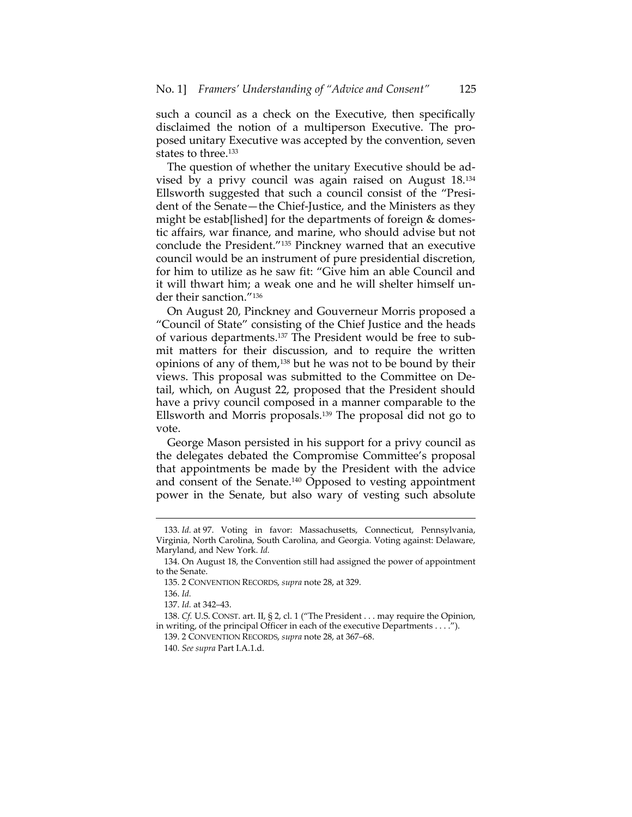such a council as a check on the Executive, then specifically disclaimed the notion of a multiperson Executive. The pro‐ posed unitary Executive was accepted by the convention, seven states to three.<sup>133</sup>

The question of whether the unitary Executive should be ad‐ vised by a privy council was again raised on August 18.134 Ellsworth suggested that such a council consist of the "Presi‐ dent of the Senate—the Chief‐Justice, and the Ministers as they might be estab[lished] for the departments of foreign & domestic affairs, war finance, and marine, who should advise but not conclude the President."135 Pinckney warned that an executive council would be an instrument of pure presidential discretion, for him to utilize as he saw fit: "Give him an able Council and it will thwart him; a weak one and he will shelter himself under their sanction."136

On August 20, Pinckney and Gouverneur Morris proposed a "Council of State" consisting of the Chief Justice and the heads of various departments.137 The President would be free to sub‐ mit matters for their discussion, and to require the written opinions of any of them,138 but he was not to be bound by their views. This proposal was submitted to the Committee on De‐ tail, which, on August 22, proposed that the President should have a privy council composed in a manner comparable to the Ellsworth and Morris proposals.139 The proposal did not go to vote.

George Mason persisted in his support for a privy council as the delegates debated the Compromise Committee's proposal that appointments be made by the President with the advice and consent of the Senate.140 Opposed to vesting appointment power in the Senate, but also wary of vesting such absolute

<sup>133.</sup> *Id.* at 97. Voting in favor: Massachusetts, Connecticut, Pennsylvania, Virginia, North Carolina, South Carolina, and Georgia. Voting against: Delaware, Maryland, and New York. *Id.*

<sup>134.</sup> On August 18, the Convention still had assigned the power of appointment to the Senate.

<sup>135.</sup> 2 CONVENTION RECORDS, *supra* note 28, at 329.

<sup>136.</sup> *Id.*

<sup>137.</sup> *Id.* at 342–43.

<sup>138.</sup> *Cf.* U.S. CONST. art. II, § 2, cl. 1 ("The President . . . may require the Opinion, in writing, of the principal Officer in each of the executive Departments . . . .").

<sup>139.</sup> 2 CONVENTION RECORDS, *supra* note 28, at 367–68.

<sup>140.</sup> *See supra* Part I.A.1.d.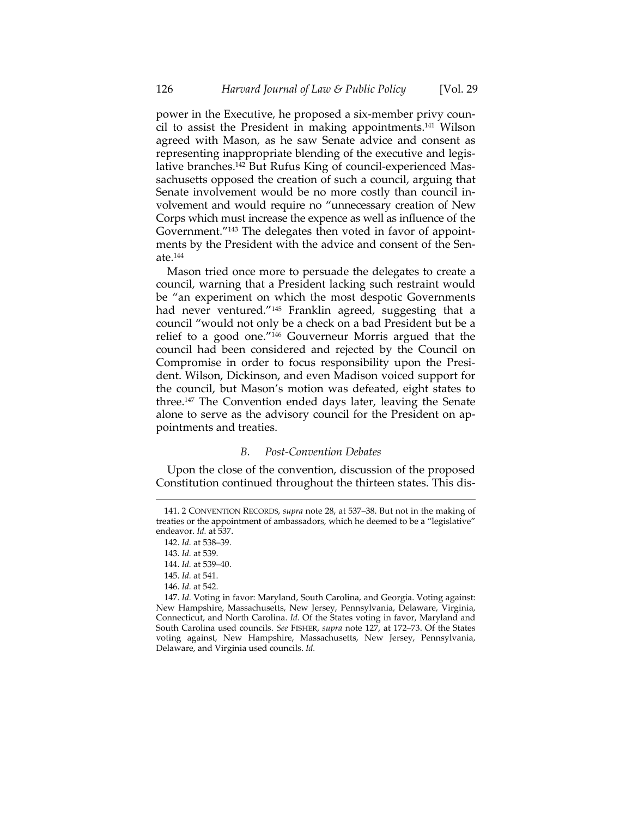power in the Executive, he proposed a six-member privy council to assist the President in making appointments.141 Wilson agreed with Mason, as he saw Senate advice and consent as representing inappropriate blending of the executive and legis‐ lative branches.<sup>142</sup> But Rufus King of council-experienced Massachusetts opposed the creation of such a council, arguing that Senate involvement would be no more costly than council in‐ volvement and would require no "unnecessary creation of New Corps which must increase the expence as well as influence of the Government."<sup>143</sup> The delegates then voted in favor of appointments by the President with the advice and consent of the Senate.144

Mason tried once more to persuade the delegates to create a council, warning that a President lacking such restraint would be "an experiment on which the most despotic Governments had never ventured."145 Franklin agreed, suggesting that a council "would not only be a check on a bad President but be a relief to a good one."146 Gouverneur Morris argued that the council had been considered and rejected by the Council on Compromise in order to focus responsibility upon the Presi‐ dent. Wilson, Dickinson, and even Madison voiced support for the council, but Mason's motion was defeated, eight states to three.147 The Convention ended days later, leaving the Senate alone to serve as the advisory council for the President on appointments and treaties.

#### *B. Post‐Convention Debates*

Upon the close of the convention, discussion of the proposed Constitution continued throughout the thirteen states. This dis‐

<u> 1989 - Johann Stein, marwolaethau a bhann an t-Amhain an t-Amhain an t-Amhain an t-Amhain an t-Amhain an t-A</u>

146. *Id.* at 542.

<sup>141.</sup> 2 CONVENTION RECORDS, *supra* note 28, at 537–38. But not in the making of treaties or the appointment of ambassadors, which he deemed to be a "legislative" endeavor. *Id.* at 537.

<sup>142.</sup> *Id.* at 538–39.

<sup>143.</sup> *Id.* at 539.

<sup>144.</sup> *Id.* at 539–40.

<sup>145.</sup> *Id.* at 541.

<sup>147.</sup> *Id.* Voting in favor: Maryland, South Carolina, and Georgia. Voting against: New Hampshire, Massachusetts, New Jersey, Pennsylvania, Delaware, Virginia, Connecticut, and North Carolina. *Id.* Of the States voting in favor, Maryland and South Carolina used councils. *See* FISHER, *supra* note 127, at 172–73. Of the States voting against, New Hampshire, Massachusetts, New Jersey, Pennsylvania, Delaware, and Virginia used councils. *Id.*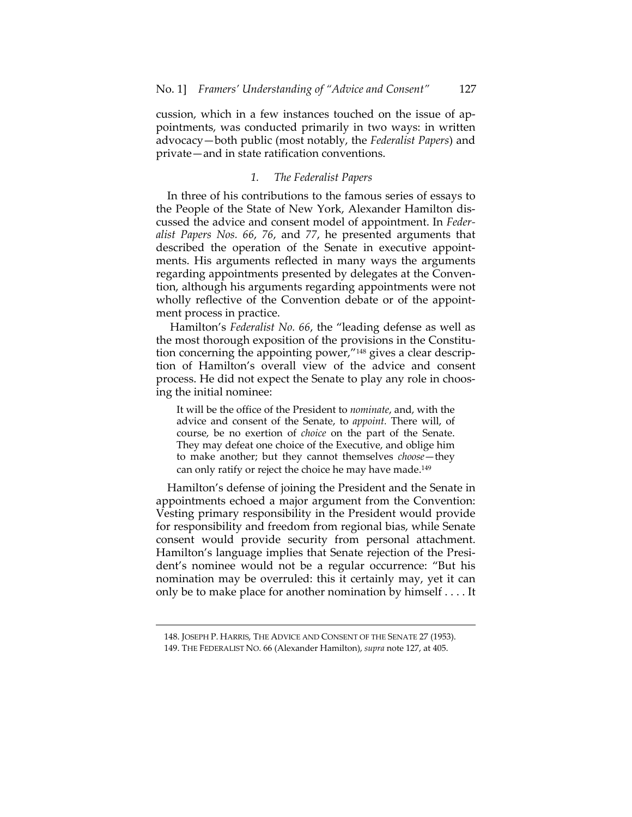cussion, which in a few instances touched on the issue of ap‐ pointments, was conducted primarily in two ways: in written advocacy—both public (most notably, the *Federalist Papers*) and private—and in state ratification conventions.

# *1. The Federalist Papers*

In three of his contributions to the famous series of essays to the People of the State of New York, Alexander Hamilton dis‐ cussed the advice and consent model of appointment. In *Feder‐ alist Papers Nos. 66*, *76*, and *77*, he presented arguments that described the operation of the Senate in executive appointments. His arguments reflected in many ways the arguments regarding appointments presented by delegates at the Conven‐ tion, although his arguments regarding appointments were not wholly reflective of the Convention debate or of the appointment process in practice.

Hamilton's *Federalist No. 66*, the "leading defense as well as the most thorough exposition of the provisions in the Constitu‐ tion concerning the appointing power,"<sup>148</sup> gives a clear description of Hamilton's overall view of the advice and consent process. He did not expect the Senate to play any role in choosing the initial nominee:

It will be the office of the President to *nominate*, and, with the advice and consent of the Senate, to *appoint.* There will, of course, be no exertion of *choice* on the part of the Senate. They may defeat one choice of the Executive, and oblige him to make another; but they cannot themselves *choose*—they can only ratify or reject the choice he may have made.<sup>149</sup>

Hamilton's defense of joining the President and the Senate in appointments echoed a major argument from the Convention: Vesting primary responsibility in the President would provide for responsibility and freedom from regional bias, while Senate consent would provide security from personal attachment. Hamilton's language implies that Senate rejection of the President's nominee would not be a regular occurrence: "But his nomination may be overruled: this it certainly may, yet it can only be to make place for another nomination by himself . . . . It

<sup>&</sup>lt;u> 1989 - Johann Stein, marwolaethau a bhann an t-Amhain an t-Amhain an t-Amhain an t-Amhain an t-Amhain an t-A</u> 148. JOSEPH P. HARRIS, THE ADVICE AND CONSENT OF THE SENATE 27 (1953).

<sup>149.</sup> THE FEDERALIST NO. 66 (Alexander Hamilton), *supra* note 127, at 405.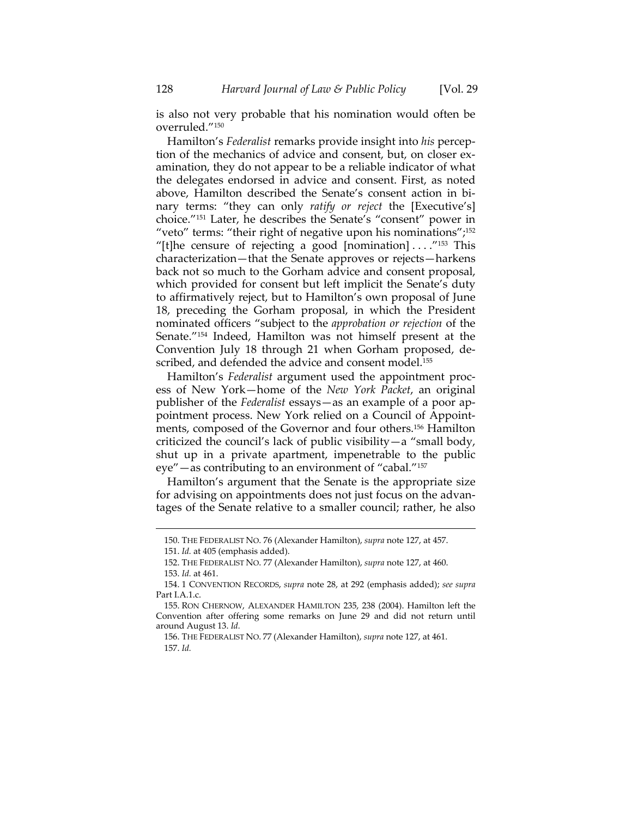is also not very probable that his nomination would often be overruled."150

Hamilton's *Federalist* remarks provide insight into *his* percep‐ tion of the mechanics of advice and consent, but, on closer examination, they do not appear to be a reliable indicator of what the delegates endorsed in advice and consent. First, as noted above, Hamilton described the Senate's consent action in bi‐ nary terms: "they can only *ratify or reject* the [Executive's] choice."151 Later, he describes the Senate's "consent" power in "veto" terms: "their right of negative upon his nominations";152 "[t]he censure of rejecting a good [nomination]  $\dots$ ."<sup>153</sup> This characterization—that the Senate approves or rejects—harkens back not so much to the Gorham advice and consent proposal, which provided for consent but left implicit the Senate's duty to affirmatively reject, but to Hamilton's own proposal of June 18, preceding the Gorham proposal, in which the President nominated officers "subject to the *approbation or rejection* of the Senate."154 Indeed, Hamilton was not himself present at the Convention July 18 through 21 when Gorham proposed, de‐ scribed, and defended the advice and consent model.<sup>155</sup>

Hamilton's *Federalist* argument used the appointment proc‐ ess of New York—home of the *New York Packet*, an original publisher of the *Federalist* essays—as an example of a poor ap‐ pointment process. New York relied on a Council of Appoint‐ ments, composed of the Governor and four others.156 Hamilton criticized the council's lack of public visibility—a "small body, shut up in a private apartment, impenetrable to the public eye"—as contributing to an environment of "cabal."157

Hamilton's argument that the Senate is the appropriate size for advising on appointments does not just focus on the advantages of the Senate relative to a smaller council; rather, he also

<sup>150.</sup> THE FEDERALIST NO. 76 (Alexander Hamilton), *supra* note 127, at 457.

<sup>151.</sup> *Id.* at 405 (emphasis added).

<sup>152.</sup> THE FEDERALIST NO. 77 (Alexander Hamilton), *supra* note 127, at 460. 153. *Id.* at 461.

<sup>154.</sup> 1 CONVENTION RECORDS, *supra* note 28, at 292 (emphasis added); *see supra* Part I.A.1.c.

<sup>155.</sup> RON CHERNOW, ALEXANDER HAMILTON 235, 238 (2004). Hamilton left the Convention after offering some remarks on June 29 and did not return until around August 13. *Id.*

<sup>156.</sup> THE FEDERALIST NO. 77 (Alexander Hamilton), *supra* note 127, at 461. 157. *Id.*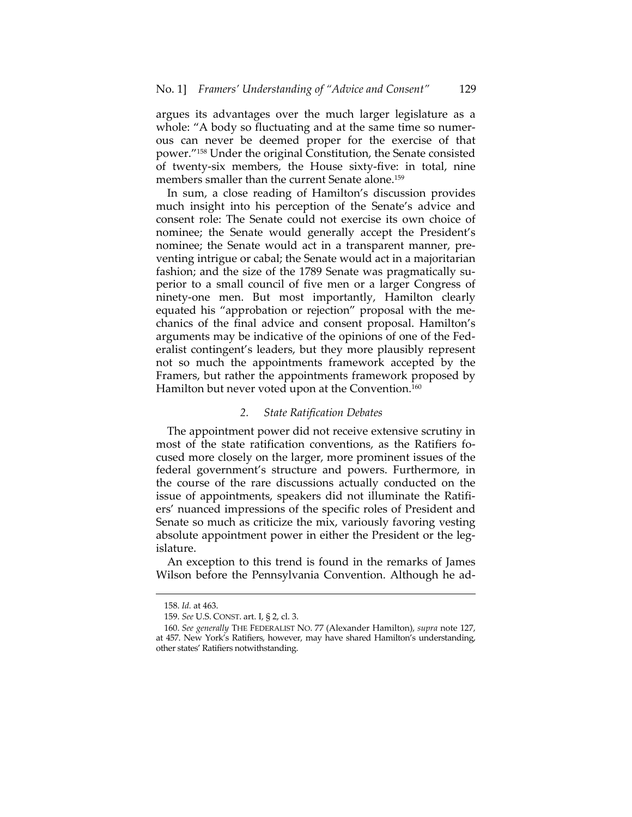argues its advantages over the much larger legislature as a whole: "A body so fluctuating and at the same time so numerous can never be deemed proper for the exercise of that power."158 Under the original Constitution, the Senate consisted of twenty‐six members, the House sixty‐five: in total, nine members smaller than the current Senate alone.<sup>159</sup>

In sum, a close reading of Hamilton's discussion provides much insight into his perception of the Senate's advice and consent role: The Senate could not exercise its own choice of nominee; the Senate would generally accept the President's nominee; the Senate would act in a transparent manner, pre‐ venting intrigue or cabal; the Senate would act in a majoritarian fashion; and the size of the 1789 Senate was pragmatically superior to a small council of five men or a larger Congress of ninety‐one men. But most importantly, Hamilton clearly equated his "approbation or rejection" proposal with the me‐ chanics of the final advice and consent proposal. Hamilton's arguments may be indicative of the opinions of one of the Fed‐ eralist contingent's leaders, but they more plausibly represent not so much the appointments framework accepted by the Framers, but rather the appointments framework proposed by Hamilton but never voted upon at the Convention.<sup>160</sup>

#### *2. State Ratification Debates*

The appointment power did not receive extensive scrutiny in most of the state ratification conventions, as the Ratifiers focused more closely on the larger, more prominent issues of the federal government's structure and powers. Furthermore, in the course of the rare discussions actually conducted on the issue of appointments, speakers did not illuminate the Ratifi‐ ers' nuanced impressions of the specific roles of President and Senate so much as criticize the mix, variously favoring vesting absolute appointment power in either the President or the legislature.

An exception to this trend is found in the remarks of James Wilson before the Pennsylvania Convention. Although he ad-

<sup>158.</sup> *Id.* at 463.

<sup>159.</sup> *See* U.S. CONST. art. I, § 2, cl. 3.

<sup>160.</sup> *See generally* THE FEDERALIST NO. 77 (Alexander Hamilton), *supra* note 127, at 457. New York's Ratifiers, however, may have shared Hamilton's understanding, other states' Ratifiers notwithstanding.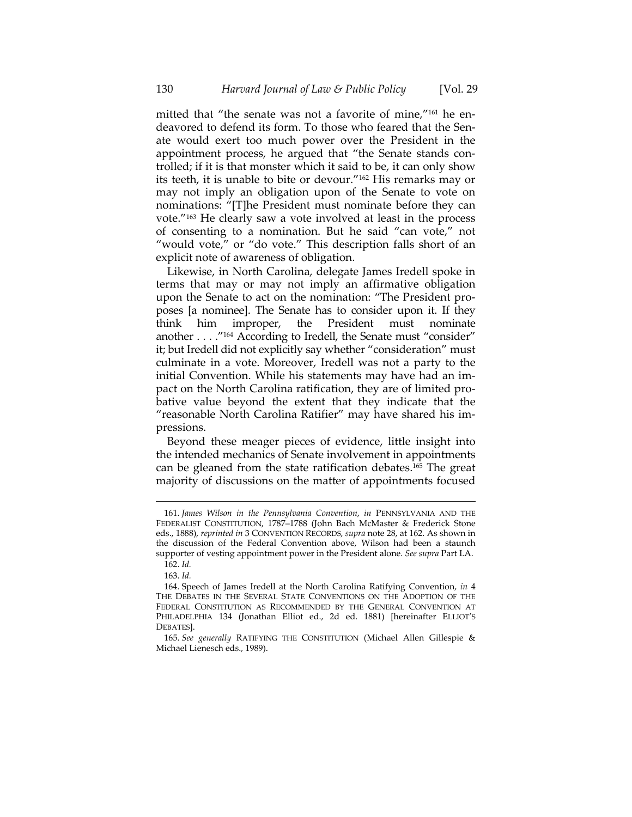mitted that "the senate was not a favorite of mine,"<sup>161</sup> he endeavored to defend its form. To those who feared that the Senate would exert too much power over the President in the appointment process, he argued that "the Senate stands controlled; if it is that monster which it said to be, it can only show its teeth, it is unable to bite or devour."162 His remarks may or may not imply an obligation upon of the Senate to vote on nominations: "[T]he President must nominate before they can vote."163 He clearly saw a vote involved at least in the process of consenting to a nomination. But he said "can vote," not "would vote," or "do vote." This description falls short of an explicit note of awareness of obligation.

Likewise, in North Carolina, delegate James Iredell spoke in terms that may or may not imply an affirmative obligation upon the Senate to act on the nomination: "The President pro‐ poses [a nominee]. The Senate has to consider upon it. If they think him improper, the President must nominate another . . . ."164 According to Iredell, the Senate must "consider" it; but Iredell did not explicitly say whether "consideration" must culminate in a vote. Moreover, Iredell was not a party to the initial Convention. While his statements may have had an im‐ pact on the North Carolina ratification, they are of limited pro‐ bative value beyond the extent that they indicate that the "reasonable North Carolina Ratifier" may have shared his im‐ pressions.

Beyond these meager pieces of evidence, little insight into the intended mechanics of Senate involvement in appointments can be gleaned from the state ratification debates.165 The great majority of discussions on the matter of appointments focused

<sup>161.</sup> *James Wilson in the Pennsylvania Convention*, *in* PENNSYLVANIA AND THE FEDERALIST CONSTITUTION, 1787–1788 (John Bach McMaster & Frederick Stone eds., 1888), *reprinted in* 3 CONVENTION RECORDS, *supra* note 28, at 162. As shown in the discussion of the Federal Convention above, Wilson had been a staunch supporter of vesting appointment power in the President alone. *See supra* Part I.A.

<sup>162.</sup> *Id.*

<sup>163.</sup> *Id.*

<sup>164.</sup> Speech of James Iredell at the North Carolina Ratifying Convention, *in* 4 THE DEBATES IN THE SEVERAL STATE CONVENTIONS ON THE ADOPTION OF THE FEDERAL CONSTITUTION AS RECOMMENDED BY THE GENERAL CONVENTION AT PHILADELPHIA 134 (Jonathan Elliot ed., 2d ed. 1881) [hereinafter ELLIOT'S DEBATES].

<sup>165.</sup> *See generally* RATIFYING THE CONSTITUTION (Michael Allen Gillespie & Michael Lienesch eds., 1989).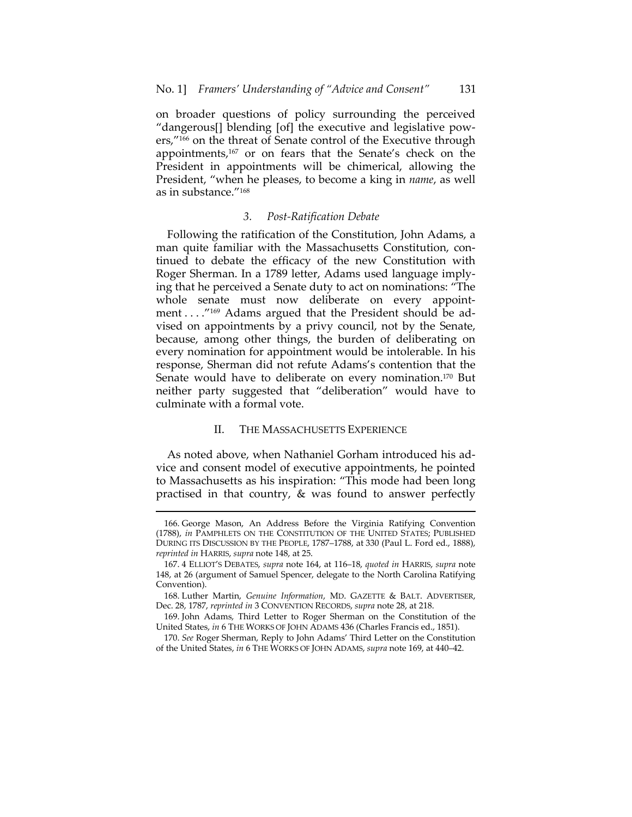on broader questions of policy surrounding the perceived "dangerous[] blending [of] the executive and legislative pow‐ ers,"<sup>166</sup> on the threat of Senate control of the Executive through appointments,167 or on fears that the Senate's check on the President in appointments will be chimerical, allowing the President, "when he pleases, to become a king in *name*, as well as in substance."168

# *3. Post‐Ratification Debate*

Following the ratification of the Constitution, John Adams, a man quite familiar with the Massachusetts Constitution, continued to debate the efficacy of the new Constitution with Roger Sherman. In a 1789 letter, Adams used language imply‐ ing that he perceived a Senate duty to act on nominations: "The whole senate must now deliberate on every appointment . . . . "<sup>169</sup> Adams argued that the President should be advised on appointments by a privy council, not by the Senate, because, among other things, the burden of deliberating on every nomination for appointment would be intolerable. In his response, Sherman did not refute Adams's contention that the Senate would have to deliberate on every nomination.<sup>170</sup> But neither party suggested that "deliberation" would have to culminate with a formal vote.

#### II. THE MASSACHUSETTS EXPERIENCE

As noted above, when Nathaniel Gorham introduced his ad‐ vice and consent model of executive appointments, he pointed to Massachusetts as his inspiration: "This mode had been long practised in that country, & was found to answer perfectly

<sup>166.</sup> George Mason, An Address Before the Virginia Ratifying Convention (1788), *in* PAMPHLETS ON THE CONSTITUTION OF THE UNITED STATES; PUBLISHED DURING ITS DISCUSSION BY THE PEOPLE, 1787–1788, at 330 (Paul L. Ford ed., 1888), *reprinted in* HARRIS, *supra* note 148, at 25.

<sup>167.</sup> 4 ELLIOT'S DEBATES, *supra* note 164, at 116–18, *quoted in* HARRIS, *supra* note 148, at 26 (argument of Samuel Spencer, delegate to the North Carolina Ratifying Convention).

<sup>168.</sup> Luther Martin, *Genuine Information*, MD. GAZETTE & BALT. ADVERTISER, Dec. 28, 1787, *reprinted in* 3 CONVENTION RECORDS, *supra* note 28, at 218.

<sup>169.</sup> John Adams, Third Letter to Roger Sherman on the Constitution of the United States, *in* 6 THE WORKS OF JOHN ADAMS 436 (Charles Francis ed., 1851).

<sup>170.</sup> *See* Roger Sherman, Reply to John Adams' Third Letter on the Constitution of the United States, *in* 6 THE WORKS OF JOHN ADAMS, *supra* note 169, at 440–42.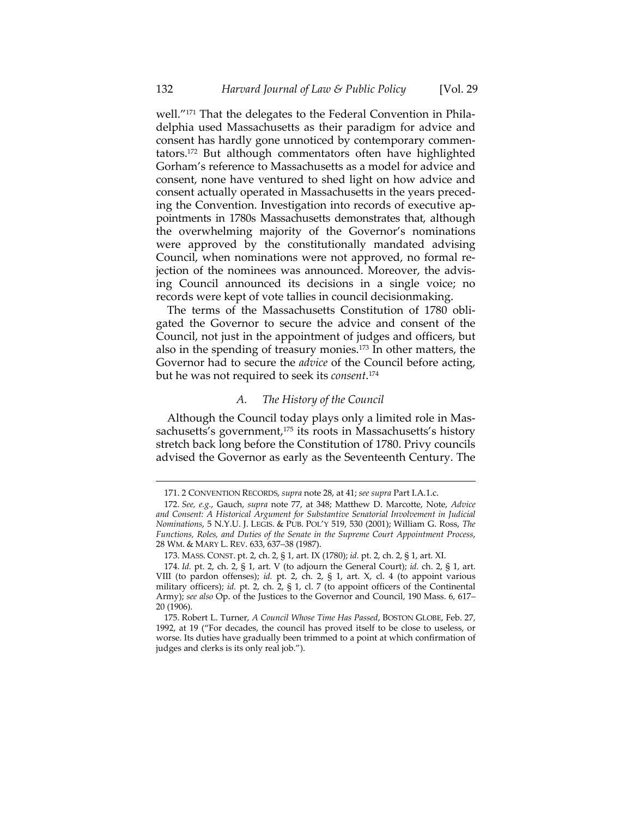well."<sup>171</sup> That the delegates to the Federal Convention in Philadelphia used Massachusetts as their paradigm for advice and consent has hardly gone unnoticed by contemporary commen‐ tators.172 But although commentators often have highlighted Gorham's reference to Massachusetts as a model for advice and consent, none have ventured to shed light on how advice and consent actually operated in Massachusetts in the years preced‐ ing the Convention. Investigation into records of executive appointments in 1780s Massachusetts demonstrates that, although the overwhelming majority of the Governor's nominations were approved by the constitutionally mandated advising Council, when nominations were not approved, no formal re‐ jection of the nominees was announced. Moreover, the advis‐ ing Council announced its decisions in a single voice; no records were kept of vote tallies in council decisionmaking.

The terms of the Massachusetts Constitution of 1780 obligated the Governor to secure the advice and consent of the Council, not just in the appointment of judges and officers, but also in the spending of treasury monies.173 In other matters, the Governor had to secure the *advice* of the Council before acting, but he was not required to seek its *consent*. 174

#### *A. The History of the Council*

Although the Council today plays only a limited role in Mas‐ sachusetts's government,<sup>175</sup> its roots in Massachusetts's history stretch back long before the Constitution of 1780. Privy councils advised the Governor as early as the Seventeenth Century. The

<sup>171.</sup> 2 CONVENTION RECORDS, *supra* note 28, at 41; *see supra* Part I.A.1.c.

<sup>172.</sup> *See, e.g.*, Gauch, *supra* note 77, at 348; Matthew D. Marcotte, Note, *Advice and Consent: A Historical Argument for Substantive Senatorial Involvement in Judicial Nominations*, 5 N.Y.U. J. LEGIS. & PUB. POL'Y 519, 530 (2001); William G. Ross, *The Functions, Roles, and Duties of the Senate in the Supreme Court Appointment Process*, 28 WM. & MARY L. REV. 633, 637–38 (1987).

<sup>173.</sup> MASS. CONST. pt. 2, ch. 2, § 1, art. IX (1780); *id.* pt. 2, ch. 2, § 1, art. XI.

<sup>174.</sup> *Id.* pt. 2, ch. 2, § 1, art. V (to adjourn the General Court); *id.* ch. 2, § 1, art. VIII (to pardon offenses); *id.* pt. 2, ch. 2, § 1, art. X, cl. 4 (to appoint various military officers); *id.* pt. 2, ch. 2, § 1, cl. 7 (to appoint officers of the Continental Army); *see also* Op. of the Justices to the Governor and Council, 190 Mass. 6, 617– 20 (1906).

<sup>175.</sup> Robert L. Turner, *A Council Whose Time Has Passed*, BOSTON GLOBE, Feb. 27, 1992, at 19 ("For decades, the council has proved itself to be close to useless, or worse. Its duties have gradually been trimmed to a point at which confirmation of judges and clerks is its only real job.").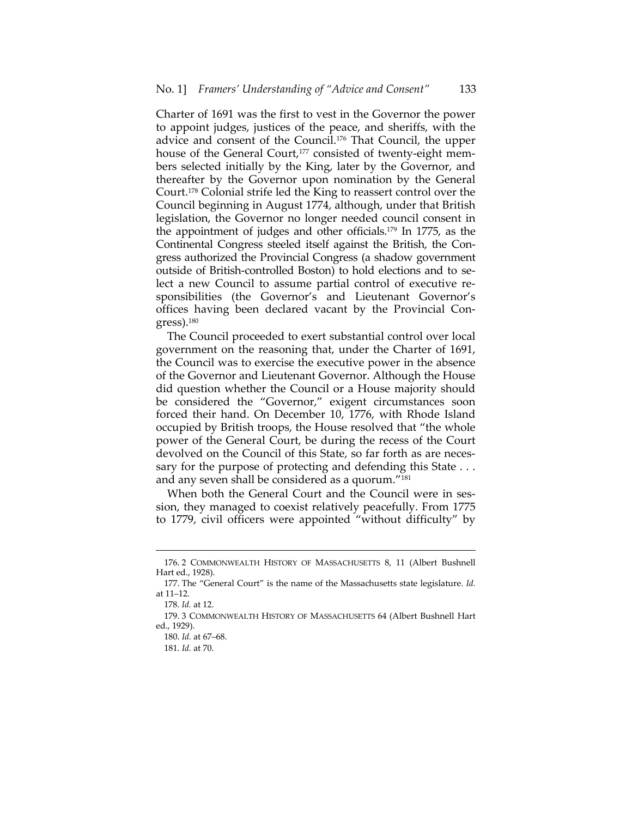Charter of 1691 was the first to vest in the Governor the power to appoint judges, justices of the peace, and sheriffs, with the advice and consent of the Council.176 That Council, the upper house of the General Court,<sup>177</sup> consisted of twenty-eight members selected initially by the King, later by the Governor, and thereafter by the Governor upon nomination by the General Court.178 Colonial strife led the King to reassert control over the Council beginning in August 1774, although, under that British legislation, the Governor no longer needed council consent in the appointment of judges and other officials.179 In 1775, as the Continental Congress steeled itself against the British, the Con‐ gress authorized the Provincial Congress (a shadow government outside of British‐controlled Boston) to hold elections and to se‐ lect a new Council to assume partial control of executive re‐ sponsibilities (the Governor's and Lieutenant Governor's offices having been declared vacant by the Provincial Con‐ gress).180

The Council proceeded to exert substantial control over local government on the reasoning that, under the Charter of 1691, the Council was to exercise the executive power in the absence of the Governor and Lieutenant Governor. Although the House did question whether the Council or a House majority should be considered the "Governor," exigent circumstances soon forced their hand. On December 10, 1776, with Rhode Island occupied by British troops, the House resolved that "the whole power of the General Court, be during the recess of the Court devolved on the Council of this State, so far forth as are neces‐ sary for the purpose of protecting and defending this State . . . and any seven shall be considered as a quorum."181

When both the General Court and the Council were in session, they managed to coexist relatively peacefully. From 1775 to 1779, civil officers were appointed "without difficulty" by

 176. 2 COMMONWEALTH HISTORY OF MASSACHUSETTS 8, 11 (Albert Bushnell Hart ed., 1928).

<sup>177.</sup> The "General Court" is the name of the Massachusetts state legislature. *Id.* at 11–12.

<sup>178.</sup> *Id.* at 12.

<sup>179.</sup> 3 COMMONWEALTH HISTORY OF MASSACHUSETTS 64 (Albert Bushnell Hart ed., 1929).

<sup>180.</sup> *Id.* at 67–68.

<sup>181.</sup> *Id.* at 70.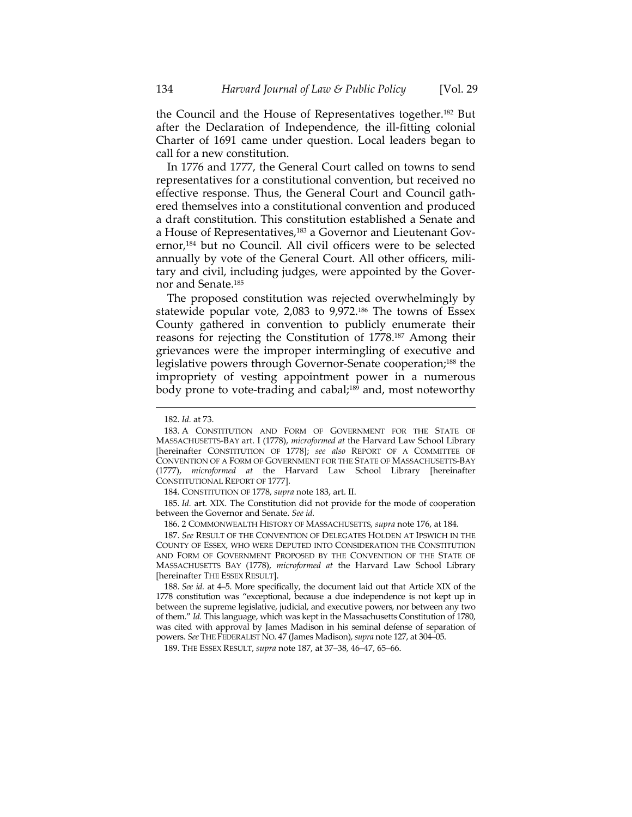the Council and the House of Representatives together.182 But after the Declaration of Independence, the ill‐fitting colonial Charter of 1691 came under question. Local leaders began to call for a new constitution.

In 1776 and 1777, the General Court called on towns to send representatives for a constitutional convention, but received no effective response. Thus, the General Court and Council gath‐ ered themselves into a constitutional convention and produced a draft constitution. This constitution established a Senate and a House of Representatives,<sup>183</sup> a Governor and Lieutenant Governor,184 but no Council. All civil officers were to be selected annually by vote of the General Court. All other officers, mili‐ tary and civil, including judges, were appointed by the Gover‐ nor and Senate.185

The proposed constitution was rejected overwhelmingly by statewide popular vote, 2,083 to 9,972.186 The towns of Essex County gathered in convention to publicly enumerate their reasons for rejecting the Constitution of 1778.187 Among their grievances were the improper intermingling of executive and legislative powers through Governor‐Senate cooperation;188 the impropriety of vesting appointment power in a numerous body prone to vote-trading and cabal;<sup>189</sup> and, most noteworthy

<u> 1989 - Johann Stein, marwolaethau a bhann an t-Amhain an t-Amhain an t-Amhain an t-Amhain an t-Amhain an t-A</u>

184. CONSTITUTION OF 1778, *supra* note 183, art. II.

185. *Id.* art. XIX. The Constitution did not provide for the mode of cooperation between the Governor and Senate. *See id.*

186. 2 COMMONWEALTH HISTORY OF MASSACHUSETTS, *supra* note 176, at 184.

187. *See* RESULT OF THE CONVENTION OF DELEGATES HOLDEN AT IPSWICH IN THE COUNTY OF ESSEX, WHO WERE DEPUTED INTO CONSIDERATION THE CONSTITUTION AND FORM OF GOVERNMENT PROPOSED BY THE CONVENTION OF THE STATE OF MASSACHUSETTS BAY (1778), *microformed at* the Harvard Law School Library [hereinafter THE ESSEX RESULT].

188. *See id.* at 4–5. More specifically, the document laid out that Article XIX of the 1778 constitution was "exceptional, because a due independence is not kept up in between the supreme legislative, judicial, and executive powers, nor between any two of them." *Id.* This language, which was kept in the Massachusetts Constitution of 1780, was cited with approval by James Madison in his seminal defense of separation of powers. *See* THE FEDERALIST NO. 47 (James Madison), *supra* note 127, at 304–05.

189. THE ESSEX RESULT, *supra* note 187, at 37–38, 46–47, 65–66.

<sup>182.</sup> *Id.* at 73.

<sup>183.</sup> A CONSTITUTION AND FORM OF GOVERNMENT FOR THE STATE OF MASSACHUSETTS‐BAY art. I (1778), *microformed at* the Harvard Law School Library [hereinafter CONSTITUTION OF 1778]; *see also* REPORT OF A COMMITTEE OF CONVENTION OF A FORM OF GOVERNMENT FOR THE STATE OF MASSACHUSETTS‐BAY (1777), *microformed at* the Harvard Law School Library [hereinafter CONSTITUTIONAL REPORT OF 1777].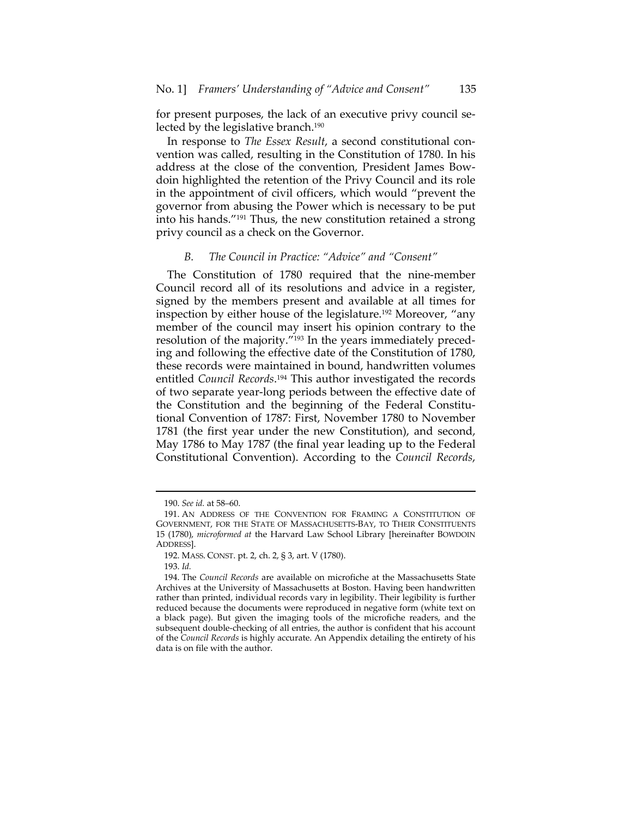for present purposes, the lack of an executive privy council selected by the legislative branch.190

In response to *The Essex Result*, a second constitutional convention was called, resulting in the Constitution of 1780. In his address at the close of the convention, President James Bow‐ doin highlighted the retention of the Privy Council and its role in the appointment of civil officers, which would "prevent the governor from abusing the Power which is necessary to be put into his hands."191 Thus, the new constitution retained a strong privy council as a check on the Governor.

#### *B. The Council in Practice: "Advice" and "Consent"*

The Constitution of 1780 required that the nine-member Council record all of its resolutions and advice in a register, signed by the members present and available at all times for inspection by either house of the legislature.192 Moreover, "any member of the council may insert his opinion contrary to the resolution of the majority."<sup>193</sup> In the years immediately preceding and following the effective date of the Constitution of 1780, these records were maintained in bound, handwritten volumes entitled *Council Records*. <sup>194</sup> This author investigated the records of two separate year‐long periods between the effective date of the Constitution and the beginning of the Federal Constitu‐ tional Convention of 1787: First, November 1780 to November 1781 (the first year under the new Constitution), and second, May 1786 to May 1787 (the final year leading up to the Federal Constitutional Convention). According to the *Council Records*,

<sup>190.</sup> *See id.* at 58–60.

<sup>191.</sup> AN ADDRESS OF THE CONVENTION FOR FRAMING A CONSTITUTION OF GOVERNMENT, FOR THE STATE OF MASSACHUSETTS‐BAY, TO THEIR CONSTITUENTS 15 (1780), *microformed at* the Harvard Law School Library [hereinafter BOWDOIN ADDRESS].

<sup>192.</sup> MASS. CONST. pt. 2, ch. 2, § 3, art. V (1780).

<sup>193.</sup> *Id.*

<sup>194.</sup> The *Council Records* are available on microfiche at the Massachusetts State Archives at the University of Massachusetts at Boston. Having been handwritten rather than printed, individual records vary in legibility. Their legibility is further reduced because the documents were reproduced in negative form (white text on a black page). But given the imaging tools of the microfiche readers, and the subsequent double-checking of all entries, the author is confident that his account of the *Council Records* is highly accurate. An Appendix detailing the entirety of his data is on file with the author.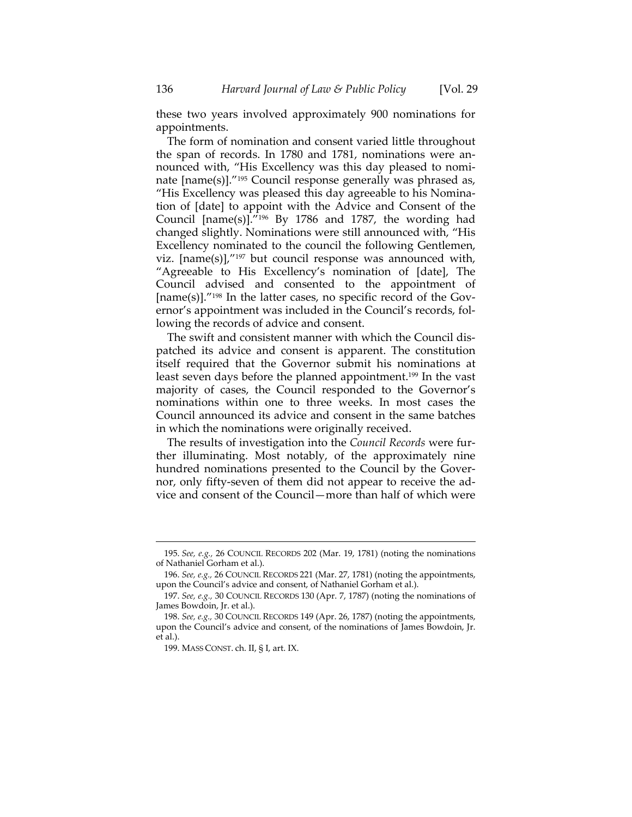these two years involved approximately 900 nominations for appointments.

The form of nomination and consent varied little throughout the span of records. In 1780 and 1781, nominations were an‐ nounced with, "His Excellency was this day pleased to nomi‐ nate [name(s)]."195 Council response generally was phrased as, "His Excellency was pleased this day agreeable to his Nomina‐ tion of [date] to appoint with the Advice and Consent of the Council [name(s)]."196 By 1786 and 1787, the wording had changed slightly. Nominations were still announced with, "His Excellency nominated to the council the following Gentlemen, viz.  $[name(s)]$ ,  $j^{197}$  but council response was announced with, "Agreeable to His Excellency's nomination of [date], The Council advised and consented to the appointment of  $[name(s)]$ ."<sup>198</sup> In the latter cases, no specific record of the Governor's appointment was included in the Council's records, fol‐ lowing the records of advice and consent.

The swift and consistent manner with which the Council dis‐ patched its advice and consent is apparent. The constitution itself required that the Governor submit his nominations at least seven days before the planned appointment.199 In the vast majority of cases, the Council responded to the Governor's nominations within one to three weeks. In most cases the Council announced its advice and consent in the same batches in which the nominations were originally received.

The results of investigation into the *Council Records* were fur‐ ther illuminating. Most notably, of the approximately nine hundred nominations presented to the Council by the Gover‐ nor, only fifty‐seven of them did not appear to receive the ad‐ vice and consent of the Council—more than half of which were

<sup>&</sup>lt;u> 1989 - Johann Stein, marwolaethau a bhann an t-Amhain an t-Amhain an t-Amhain an t-Amhain an t-Amhain an t-A</u> 195. *See, e.g.,* 26 COUNCIL RECORDS 202 (Mar. 19, 1781) (noting the nominations of Nathaniel Gorham et al.).

<sup>196.</sup> *See, e.g.,* 26 COUNCIL RECORDS 221 (Mar. 27, 1781) (noting the appointments, upon the Council's advice and consent, of Nathaniel Gorham et al.).

<sup>197.</sup> *See, e.g.,* 30 COUNCIL RECORDS 130 (Apr. 7, 1787) (noting the nominations of James Bowdoin, Jr. et al.).

<sup>198.</sup> *See, e.g.,* 30 COUNCIL RECORDS 149 (Apr. 26, 1787) (noting the appointments, upon the Council's advice and consent, of the nominations of James Bowdoin, Jr. et al.).

<sup>199.</sup> MASS CONST. ch. II, § I, art. IX.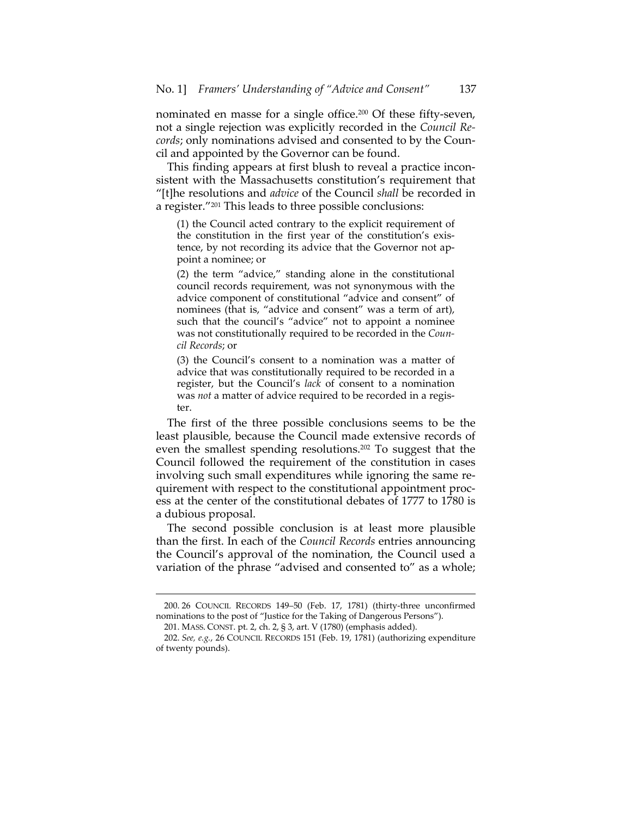nominated en masse for a single office.200 Of these fifty‐seven, not a single rejection was explicitly recorded in the *Council Re‐ cords*; only nominations advised and consented to by the Coun‐ cil and appointed by the Governor can be found.

This finding appears at first blush to reveal a practice incon‐ sistent with the Massachusetts constitution's requirement that "[t]he resolutions and *advice* of the Council *shall* be recorded in a register."201 This leads to three possible conclusions:

(1) the Council acted contrary to the explicit requirement of the constitution in the first year of the constitution's exis‐ tence, by not recording its advice that the Governor not ap‐ point a nominee; or

(2) the term "advice," standing alone in the constitutional council records requirement, was not synonymous with the advice component of constitutional "advice and consent" of nominees (that is, "advice and consent" was a term of art), such that the council's "advice" not to appoint a nominee was not constitutionally required to be recorded in the *Coun‐ cil Records*; or

(3) the Council's consent to a nomination was a matter of advice that was constitutionally required to be recorded in a register, but the Council's *lack* of consent to a nomination was *not* a matter of advice required to be recorded in a regis‐ ter.

The first of the three possible conclusions seems to be the least plausible, because the Council made extensive records of even the smallest spending resolutions.202 To suggest that the Council followed the requirement of the constitution in cases involving such small expenditures while ignoring the same re‐ quirement with respect to the constitutional appointment proc‐ ess at the center of the constitutional debates of 1777 to 1780 is a dubious proposal.

The second possible conclusion is at least more plausible than the first. In each of the *Council Records* entries announcing the Council's approval of the nomination, the Council used a variation of the phrase "advised and consented to" as a whole;

 200. 26 COUNCIL RECORDS 149–50 (Feb. 17, 1781) (thirty‐three unconfirmed nominations to the post of "Justice for the Taking of Dangerous Persons").

<sup>201.</sup> MASS. CONST. pt. 2, ch. 2, § 3, art. V (1780) (emphasis added).

<sup>202.</sup> *See, e.g.*, 26 COUNCIL RECORDS 151 (Feb. 19, 1781) (authorizing expenditure of twenty pounds).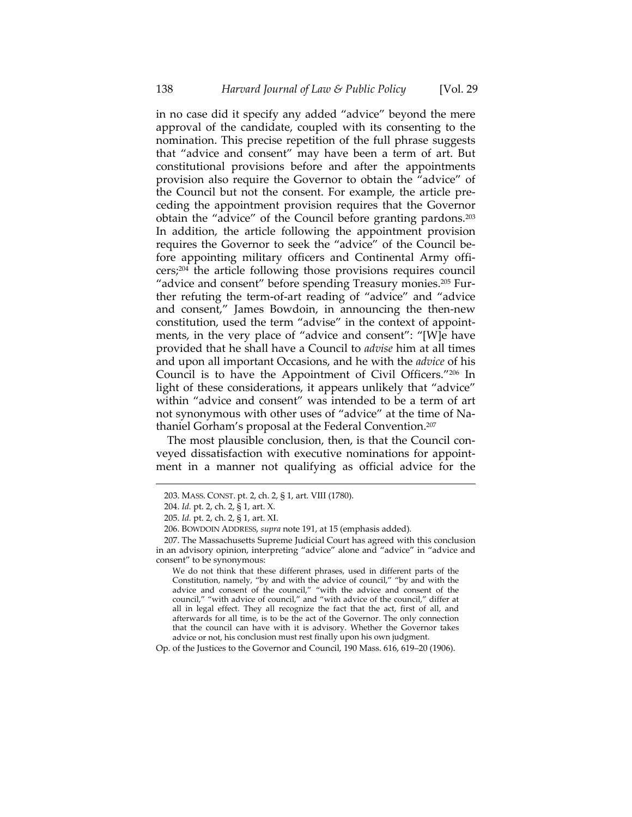in no case did it specify any added "advice" beyond the mere approval of the candidate, coupled with its consenting to the nomination. This precise repetition of the full phrase suggests that "advice and consent" may have been a term of art. But constitutional provisions before and after the appointments provision also require the Governor to obtain the "advice" of the Council but not the consent. For example, the article pre‐ ceding the appointment provision requires that the Governor obtain the "advice" of the Council before granting pardons.203 In addition, the article following the appointment provision requires the Governor to seek the "advice" of the Council be‐ fore appointing military officers and Continental Army officers;204 the article following those provisions requires council "advice and consent" before spending Treasury monies.<sup>205</sup> Further refuting the term‐of‐art reading of "advice" and "advice and consent," James Bowdoin, in announcing the then‐new constitution, used the term "advise" in the context of appointments, in the very place of "advice and consent": "[W]e have provided that he shall have a Council to *advise* him at all times and upon all important Occasions, and he with the *advice* of his Council is to have the Appointment of Civil Officers."206 In light of these considerations, it appears unlikely that "advice" within "advice and consent" was intended to be a term of art not synonymous with other uses of "advice" at the time of Na‐ thaniel Gorham's proposal at the Federal Convention.207

The most plausible conclusion, then, is that the Council conveyed dissatisfaction with executive nominations for appoint‐ ment in a manner not qualifying as official advice for the

<u> 1989 - Johann Stein, marwolaethau a bhann an t-Amhain an t-Amhain an t-Amhain an t-Amhain an t-Amhain an t-A</u>

We do not think that these different phrases, used in different parts of the Constitution, namely, "by and with the advice of council," "by and with the advice and consent of the council," "with the advice and consent of the council," "with advice of council," and "with advice of the council," differ at all in legal effect. They all recognize the fact that the act, first of all, and afterwards for all time, is to be the act of the Governor. The only connection that the council can have with it is advisory. Whether the Governor takes advice or not, his conclusion must rest finally upon his own judgment.

Op. of the Justices to the Governor and Council, 190 Mass. 616, 619–20 (1906).

<sup>203.</sup> MASS. CONST. pt. 2, ch. 2, § 1, art. VIII (1780).

<sup>204.</sup> *Id.* pt. 2, ch. 2, § 1, art. X.

<sup>205.</sup> *Id.* pt. 2, ch. 2, § 1, art. XI.

<sup>206.</sup> BOWDOIN ADDRESS, *supra* note 191, at 15 (emphasis added).

<sup>207.</sup> The Massachusetts Supreme Judicial Court has agreed with this conclusion in an advisory opinion, interpreting "advice" alone and "advice" in "advice and consent" to be synonymous: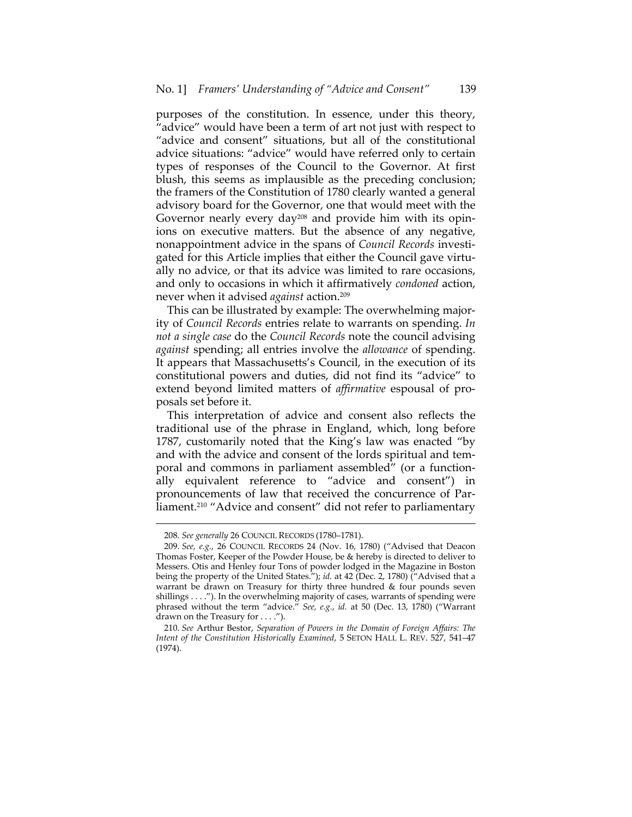purposes of the constitution. In essence, under this theory, "advice" would have been a term of art not just with respect to "advice and consent" situations, but all of the constitutional advice situations: "advice" would have referred only to certain types of responses of the Council to the Governor. At first blush, this seems as implausible as the preceding conclusion; the framers of the Constitution of 1780 clearly wanted a general advisory board for the Governor, one that would meet with the Governor nearly every day<sup>208</sup> and provide him with its opinions on executive matters. But the absence of any negative, nonappointment advice in the spans of *Council Records* investi‐ gated for this Article implies that either the Council gave virtually no advice, or that its advice was limited to rare occasions, and only to occasions in which it affirmatively *condoned* action, never when it advised *against* action.209

This can be illustrated by example: The overwhelming major‐ ity of *Council Records* entries relate to warrants on spending. *In not a single case* do the *Council Records* note the council advising *against* spending; all entries involve the *allowance* of spending. It appears that Massachusetts's Council, in the execution of its constitutional powers and duties, did not find its "advice" to extend beyond limited matters of *affirmative* espousal of pro‐ posals set before it.

This interpretation of advice and consent also reflects the traditional use of the phrase in England, which, long before 1787, customarily noted that the King's law was enacted "by and with the advice and consent of the lords spiritual and temporal and commons in parliament assembled" (or a functionally equivalent reference to "advice and consent") in pronouncements of law that received the concurrence of Par‐ liament.<sup>210</sup> "Advice and consent" did not refer to parliamentary

<sup>208.</sup> *See generally* 26 COUNCIL RECORDS (1780–1781).

<sup>209.</sup> *See, e.g.*, 26 COUNCIL RECORDS 24 (Nov. 16, 1780) ("Advised that Deacon Thomas Foster, Keeper of the Powder House, be & hereby is directed to deliver to Messers. Otis and Henley four Tons of powder lodged in the Magazine in Boston being the property of the United States."); *id.* at 42 (Dec. 2, 1780) ("Advised that a warrant be drawn on Treasury for thirty three hundred & four pounds seven shillings . . . ."). In the overwhelming majority of cases, warrants of spending were phrased without the term "advice." *See, e.g.*, *id.* at 50 (Dec. 13, 1780) ("Warrant drawn on the Treasury for . . . .").

<sup>210.</sup> *See* Arthur Bestor, *Separation of Powers in the Domain of Foreign Affairs: The Intent of the Constitution Historically Examined*, 5 SETON HALL L. REV. 527, 541–47 (1974).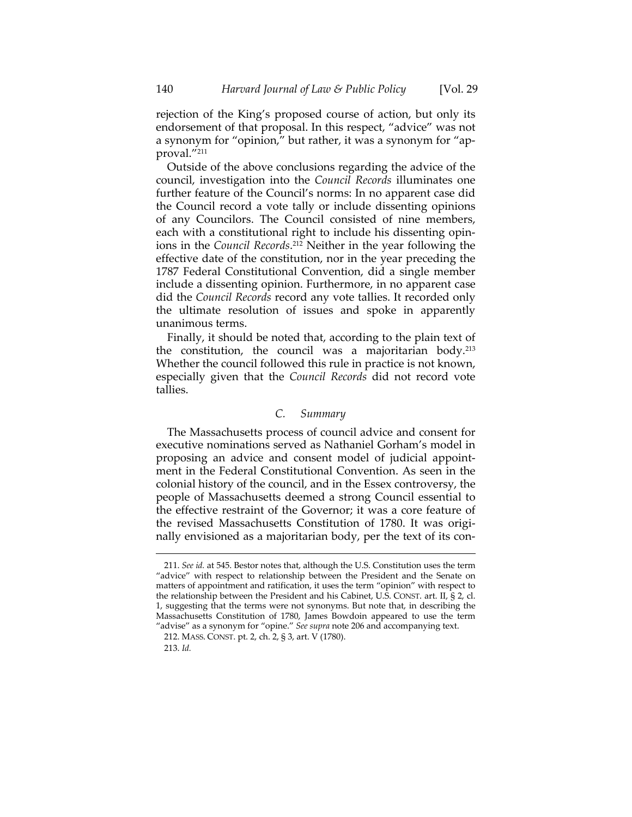rejection of the King's proposed course of action, but only its endorsement of that proposal. In this respect, "advice" was not a synonym for "opinion," but rather, it was a synonym for "ap‐ proval."211

Outside of the above conclusions regarding the advice of the council, investigation into the *Council Records* illuminates one further feature of the Council's norms: In no apparent case did the Council record a vote tally or include dissenting opinions of any Councilors. The Council consisted of nine members, each with a constitutional right to include his dissenting opin‐ ions in the *Council Records*. <sup>212</sup> Neither in the year following the effective date of the constitution, nor in the year preceding the 1787 Federal Constitutional Convention, did a single member include a dissenting opinion. Furthermore, in no apparent case did the *Council Records* record any vote tallies. It recorded only the ultimate resolution of issues and spoke in apparently unanimous terms.

Finally, it should be noted that, according to the plain text of the constitution, the council was a majoritarian body.213 Whether the council followed this rule in practice is not known, especially given that the *Council Records* did not record vote tallies.

# *C. Summary*

The Massachusetts process of council advice and consent for executive nominations served as Nathaniel Gorham's model in proposing an advice and consent model of judicial appoint‐ ment in the Federal Constitutional Convention. As seen in the colonial history of the council, and in the Essex controversy, the people of Massachusetts deemed a strong Council essential to the effective restraint of the Governor; it was a core feature of the revised Massachusetts Constitution of 1780. It was originally envisioned as a majoritarian body, per the text of its con-

<sup>211.</sup> *See id.* at 545. Bestor notes that, although the U.S. Constitution uses the term "advice" with respect to relationship between the President and the Senate on matters of appointment and ratification, it uses the term "opinion" with respect to the relationship between the President and his Cabinet, U.S. CONST. art. II, § 2, cl. 1, suggesting that the terms were not synonyms. But note that, in describing the Massachusetts Constitution of 1780, James Bowdoin appeared to use the term "advise" as a synonym for "opine." *See supra* note 206 and accompanying text.

<sup>212.</sup> MASS. CONST. pt. 2, ch. 2, § 3, art. V (1780).

<sup>213.</sup> *Id.*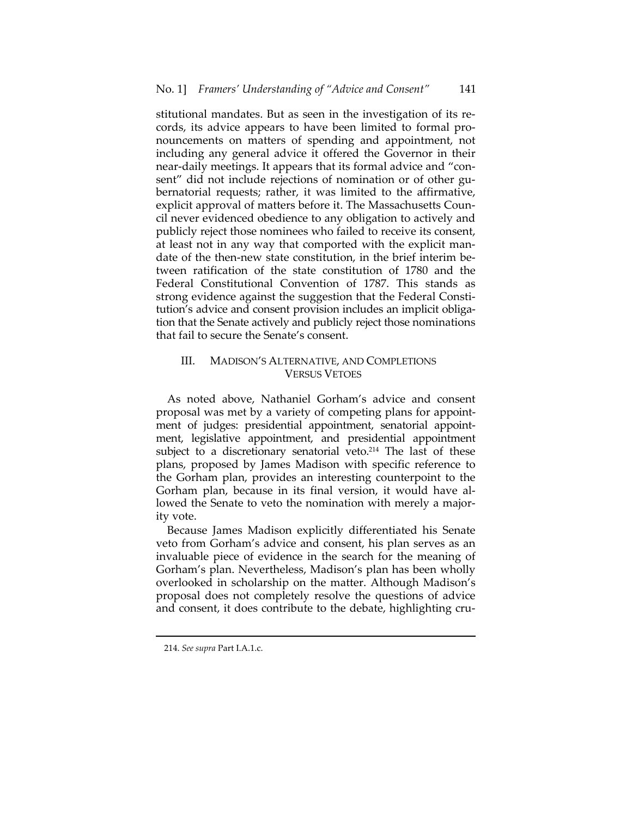stitutional mandates. But as seen in the investigation of its re‐ cords, its advice appears to have been limited to formal pro‐ nouncements on matters of spending and appointment, not including any general advice it offered the Governor in their near-daily meetings. It appears that its formal advice and "consent" did not include rejections of nomination or of other gubernatorial requests; rather, it was limited to the affirmative, explicit approval of matters before it. The Massachusetts Coun‐ cil never evidenced obedience to any obligation to actively and publicly reject those nominees who failed to receive its consent, at least not in any way that comported with the explicit man‐ date of the then-new state constitution, in the brief interim between ratification of the state constitution of 1780 and the Federal Constitutional Convention of 1787. This stands as strong evidence against the suggestion that the Federal Consti‐ tution's advice and consent provision includes an implicit obliga‐ tion that the Senate actively and publicly reject those nominations that fail to secure the Senate's consent.

# III. MADISON'S ALTERNATIVE, AND COMPLETIONS VERSUS VETOES

As noted above, Nathaniel Gorham's advice and consent proposal was met by a variety of competing plans for appoint‐ ment of judges: presidential appointment, senatorial appointment, legislative appointment, and presidential appointment subject to a discretionary senatorial veto.<sup>214</sup> The last of these plans, proposed by James Madison with specific reference to the Gorham plan, provides an interesting counterpoint to the Gorham plan, because in its final version, it would have al‐ lowed the Senate to veto the nomination with merely a majority vote.

Because James Madison explicitly differentiated his Senate veto from Gorham's advice and consent, his plan serves as an invaluable piece of evidence in the search for the meaning of Gorham's plan. Nevertheless, Madison's plan has been wholly overlooked in scholarship on the matter. Although Madison's proposal does not completely resolve the questions of advice and consent, it does contribute to the debate, highlighting cru-

<sup>214.</sup> *See supra* Part I.A.1.c.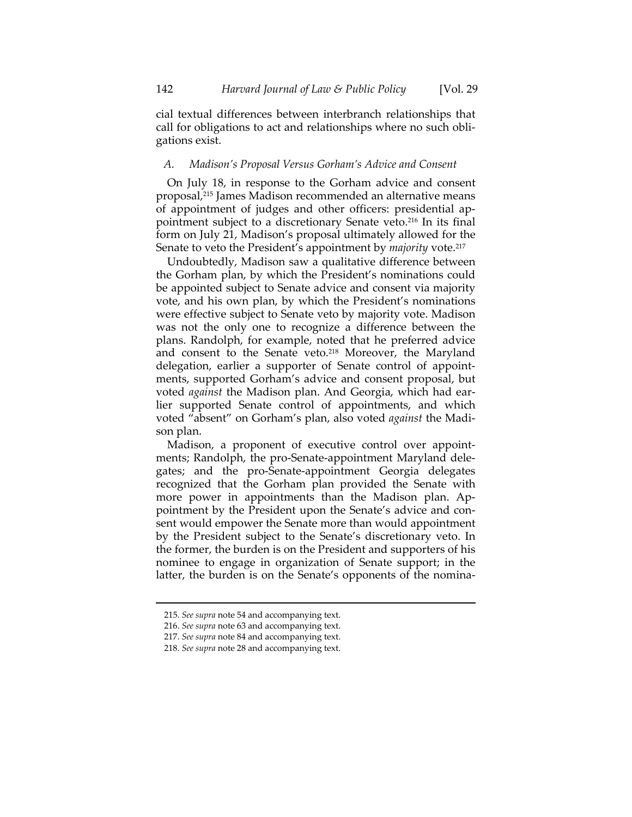cial textual differences between interbranch relationships that call for obligations to act and relationships where no such obli‐ gations exist.

#### *A. Madison's Proposal Versus Gorham's Advice and Consent*

On July 18, in response to the Gorham advice and consent proposal,215 James Madison recommended an alternative means of appointment of judges and other officers: presidential ap‐ pointment subject to a discretionary Senate veto.216 In its final form on July 21, Madison's proposal ultimately allowed for the Senate to veto the President's appointment by *majority* vote.217

Undoubtedly, Madison saw a qualitative difference between the Gorham plan, by which the President's nominations could be appointed subject to Senate advice and consent via majority vote, and his own plan, by which the President's nominations were effective subject to Senate veto by majority vote. Madison was not the only one to recognize a difference between the plans. Randolph, for example, noted that he preferred advice and consent to the Senate veto.<sup>218</sup> Moreover, the Maryland delegation, earlier a supporter of Senate control of appoint‐ ments, supported Gorham's advice and consent proposal, but voted *against* the Madison plan. And Georgia, which had ear‐ lier supported Senate control of appointments, and which voted "absent" on Gorham's plan, also voted *against* the Madi‐ son plan.

Madison, a proponent of executive control over appointments; Randolph, the pro‐Senate‐appointment Maryland dele‐ gates; and the pro‐Senate‐appointment Georgia delegates recognized that the Gorham plan provided the Senate with more power in appointments than the Madison plan. Appointment by the President upon the Senate's advice and consent would empower the Senate more than would appointment by the President subject to the Senate's discretionary veto. In the former, the burden is on the President and supporters of his nominee to engage in organization of Senate support; in the latter, the burden is on the Senate's opponents of the nomina-

<sup>215.</sup> *See supra* note 54 and accompanying text.

<sup>216.</sup> *See supra* note 63 and accompanying text.

<sup>217.</sup> *See supra* note 84 and accompanying text.

<sup>218.</sup> *See supra* note 28 and accompanying text.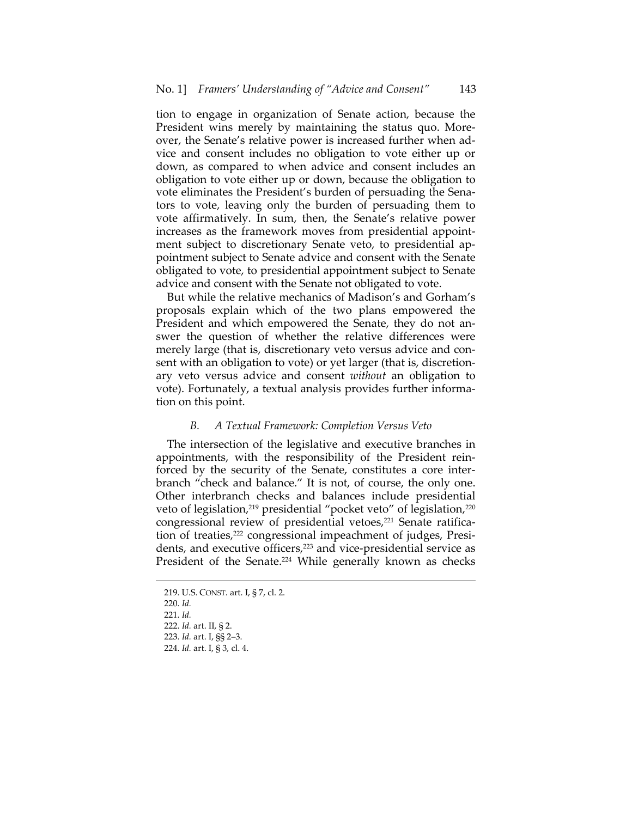tion to engage in organization of Senate action, because the President wins merely by maintaining the status quo. More‐ over, the Senate's relative power is increased further when ad‐ vice and consent includes no obligation to vote either up or down, as compared to when advice and consent includes an obligation to vote either up or down, because the obligation to vote eliminates the President's burden of persuading the Sena‐ tors to vote, leaving only the burden of persuading them to vote affirmatively. In sum, then, the Senate's relative power increases as the framework moves from presidential appoint‐ ment subject to discretionary Senate veto, to presidential appointment subject to Senate advice and consent with the Senate obligated to vote, to presidential appointment subject to Senate advice and consent with the Senate not obligated to vote.

But while the relative mechanics of Madison's and Gorham's proposals explain which of the two plans empowered the President and which empowered the Senate, they do not an‐ swer the question of whether the relative differences were merely large (that is, discretionary veto versus advice and con‐ sent with an obligation to vote) or yet larger (that is, discretionary veto versus advice and consent *without* an obligation to vote). Fortunately, a textual analysis provides further informa‐ tion on this point.

# *B. A Textual Framework: Completion Versus Veto*

The intersection of the legislative and executive branches in appointments, with the responsibility of the President rein‐ forced by the security of the Senate, constitutes a core interbranch "check and balance." It is not, of course, the only one. Other interbranch checks and balances include presidential veto of legislation,<sup>219</sup> presidential "pocket veto" of legislation,<sup>220</sup> congressional review of presidential vetoes,<sup>221</sup> Senate ratification of treaties,<sup>222</sup> congressional impeachment of judges, Presidents, and executive officers,<sup>223</sup> and vice-presidential service as President of the Senate.<sup>224</sup> While generally known as checks

<sup>219.</sup> U.S. CONST. art. I, § 7, cl. 2. 220. *Id.* 221. *Id.* 222. *Id.* art. II, § 2. 223. *Id.* art. I, §§ 2–3. 224. *Id.* art. I, § 3, cl. 4.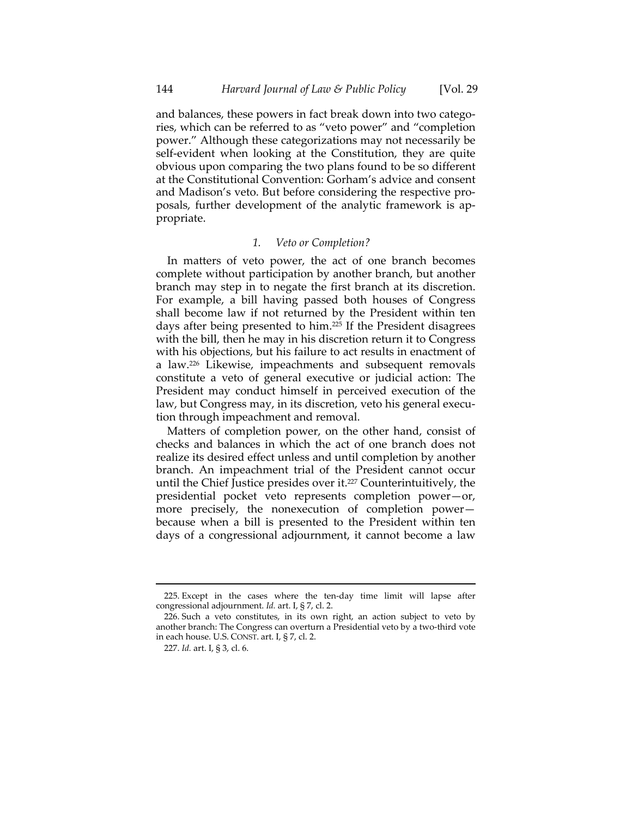and balances, these powers in fact break down into two categories, which can be referred to as "veto power" and "completion power." Although these categorizations may not necessarily be self-evident when looking at the Constitution, they are quite obvious upon comparing the two plans found to be so different at the Constitutional Convention: Gorham's advice and consent and Madison's veto. But before considering the respective pro‐ posals, further development of the analytic framework is ap‐ propriate.

#### *1. Veto or Completion?*

In matters of veto power, the act of one branch becomes complete without participation by another branch, but another branch may step in to negate the first branch at its discretion. For example, a bill having passed both houses of Congress shall become law if not returned by the President within ten days after being presented to him.225 If the President disagrees with the bill, then he may in his discretion return it to Congress with his objections, but his failure to act results in enactment of a law.226 Likewise, impeachments and subsequent removals constitute a veto of general executive or judicial action: The President may conduct himself in perceived execution of the law, but Congress may, in its discretion, veto his general execution through impeachment and removal.

Matters of completion power, on the other hand, consist of checks and balances in which the act of one branch does not realize its desired effect unless and until completion by another branch. An impeachment trial of the President cannot occur until the Chief Justice presides over it.227 Counterintuitively, the presidential pocket veto represents completion power—or, more precisely, the nonexecution of completion power because when a bill is presented to the President within ten days of a congressional adjournment, it cannot become a law

 225. Except in the cases where the ten‐day time limit will lapse after congressional adjournment. *Id.* art. I, § 7, cl. 2.

<sup>226.</sup> Such a veto constitutes, in its own right, an action subject to veto by another branch: The Congress can overturn a Presidential veto by a two‐third vote in each house. U.S. CONST. art. I, § 7, cl. 2.

<sup>227.</sup> *Id.* art. I, § 3, cl. 6.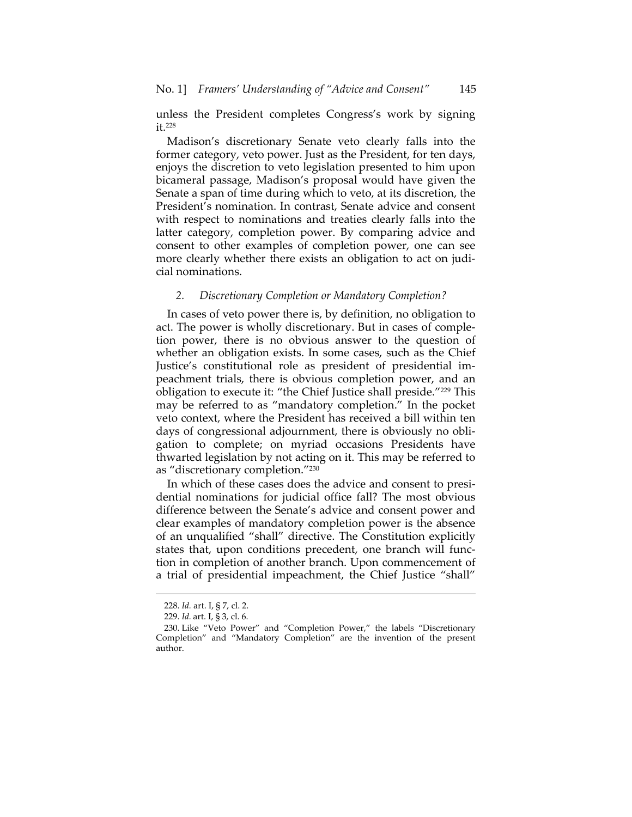unless the President completes Congress's work by signing it 228

Madison's discretionary Senate veto clearly falls into the former category, veto power. Just as the President, for ten days, enjoys the discretion to veto legislation presented to him upon bicameral passage, Madison's proposal would have given the Senate a span of time during which to veto, at its discretion, the President's nomination. In contrast, Senate advice and consent with respect to nominations and treaties clearly falls into the latter category, completion power. By comparing advice and consent to other examples of completion power, one can see more clearly whether there exists an obligation to act on judi‐ cial nominations.

#### *2. Discretionary Completion or Mandatory Completion?*

In cases of veto power there is, by definition, no obligation to act. The power is wholly discretionary. But in cases of comple‐ tion power, there is no obvious answer to the question of whether an obligation exists. In some cases, such as the Chief Justice's constitutional role as president of presidential im‐ peachment trials, there is obvious completion power, and an obligation to execute it: "the Chief Justice shall preside."229 This may be referred to as "mandatory completion." In the pocket veto context, where the President has received a bill within ten days of congressional adjournment, there is obviously no obli‐ gation to complete; on myriad occasions Presidents have thwarted legislation by not acting on it. This may be referred to as "discretionary completion."230

In which of these cases does the advice and consent to presidential nominations for judicial office fall? The most obvious difference between the Senate's advice and consent power and clear examples of mandatory completion power is the absence of an unqualified "shall" directive. The Constitution explicitly states that, upon conditions precedent, one branch will func‐ tion in completion of another branch. Upon commencement of a trial of presidential impeachment, the Chief Justice "shall"

<sup>228.</sup> *Id.* art. I, § 7, cl. 2.

<sup>229.</sup> *Id.* art. I, § 3, cl. 6.

<sup>230.</sup> Like "Veto Power" and "Completion Power," the labels "Discretionary Completion" and "Mandatory Completion" are the invention of the present author.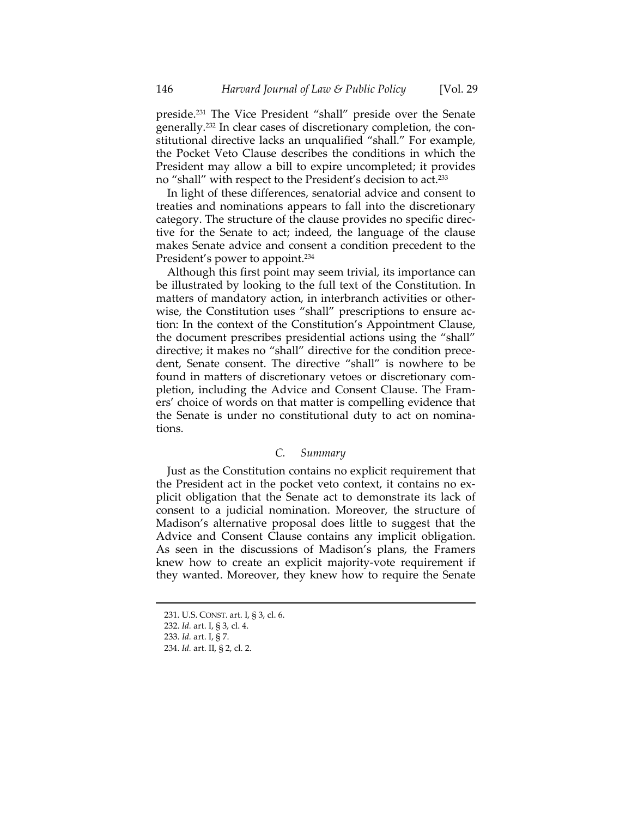preside.231 The Vice President "shall" preside over the Senate generally.<sup>232</sup> In clear cases of discretionary completion, the constitutional directive lacks an unqualified "shall." For example, the Pocket Veto Clause describes the conditions in which the President may allow a bill to expire uncompleted; it provides no "shall" with respect to the President's decision to act.<sup>233</sup>

In light of these differences, senatorial advice and consent to treaties and nominations appears to fall into the discretionary category. The structure of the clause provides no specific direc‐ tive for the Senate to act; indeed, the language of the clause makes Senate advice and consent a condition precedent to the President's power to appoint.<sup>234</sup>

Although this first point may seem trivial, its importance can be illustrated by looking to the full text of the Constitution. In matters of mandatory action, in interbranch activities or other‐ wise, the Constitution uses "shall" prescriptions to ensure action: In the context of the Constitution's Appointment Clause, the document prescribes presidential actions using the "shall" directive; it makes no "shall" directive for the condition prece‐ dent, Senate consent. The directive "shall" is nowhere to be found in matters of discretionary vetoes or discretionary completion, including the Advice and Consent Clause. The Fram‐ ers' choice of words on that matter is compelling evidence that the Senate is under no constitutional duty to act on nomina‐ tions.

# *C. Summary*

Just as the Constitution contains no explicit requirement that the President act in the pocket veto context, it contains no ex‐ plicit obligation that the Senate act to demonstrate its lack of consent to a judicial nomination. Moreover, the structure of Madison's alternative proposal does little to suggest that the Advice and Consent Clause contains any implicit obligation. As seen in the discussions of Madison's plans, the Framers knew how to create an explicit majority‐vote requirement if they wanted. Moreover, they knew how to require the Senate

<sup>231.</sup> U.S. CONST. art. I, § 3, cl. 6.

<sup>232.</sup> *Id.* art. I, § 3, cl. 4.

<sup>233.</sup> *Id.* art. I, § 7.

<sup>234.</sup> *Id.* art. II, § 2, cl. 2.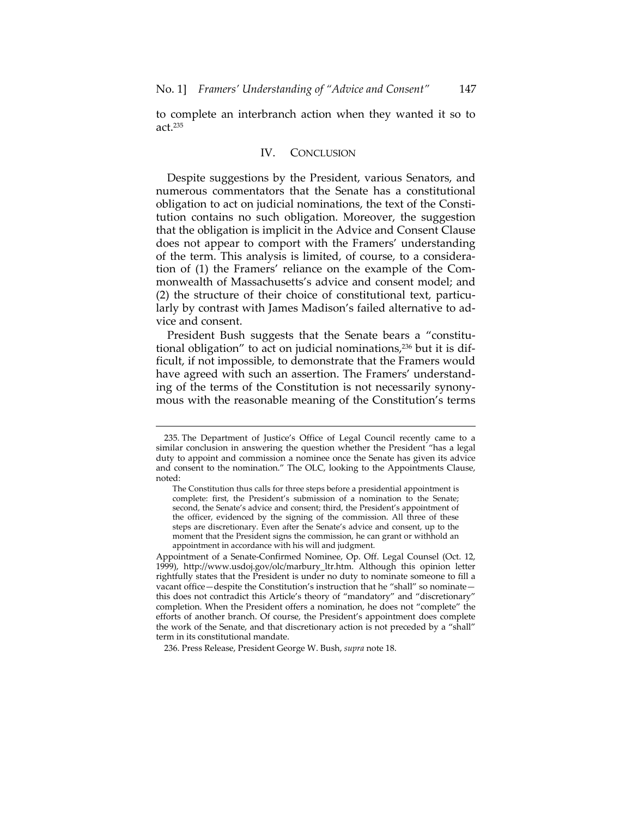to complete an interbranch action when they wanted it so to act.235

#### IV. CONCLUSION

Despite suggestions by the President, various Senators, and numerous commentators that the Senate has a constitutional obligation to act on judicial nominations, the text of the Consti‐ tution contains no such obligation. Moreover, the suggestion that the obligation is implicit in the Advice and Consent Clause does not appear to comport with the Framers' understanding of the term. This analysis is limited, of course, to a considera‐ tion of (1) the Framers' reliance on the example of the Com‐ monwealth of Massachusetts's advice and consent model; and (2) the structure of their choice of constitutional text, particularly by contrast with James Madison's failed alternative to ad‐ vice and consent.

President Bush suggests that the Senate bears a "constitutional obligation" to act on judicial nominations,<sup>236</sup> but it is difficult, if not impossible, to demonstrate that the Framers would have agreed with such an assertion. The Framers' understand‐ ing of the terms of the Constitution is not necessarily synony‐ mous with the reasonable meaning of the Constitution's terms

<u> 1989 - Johann Stein, marwolaethau a bhann an t-Amhain an t-Amhain an t-Amhain an t-Amhain an t-Amhain an t-A</u>

236. Press Release, President George W. Bush, *supra* note 18.

<sup>235.</sup> The Department of Justice's Office of Legal Council recently came to a similar conclusion in answering the question whether the President "has a legal duty to appoint and commission a nominee once the Senate has given its advice and consent to the nomination." The OLC, looking to the Appointments Clause, noted:

The Constitution thus calls for three steps before a presidential appointment is complete: first, the President's submission of a nomination to the Senate; second, the Senate's advice and consent; third, the President's appointment of the officer, evidenced by the signing of the commission. All three of these steps are discretionary. Even after the Senate's advice and consent, up to the moment that the President signs the commission, he can grant or withhold an appointment in accordance with his will and judgment.

Appointment of a Senate‐Confirmed Nominee, Op. Off. Legal Counsel (Oct. 12, 1999), http://www.usdoj.gov/olc/marbury\_ltr.htm. Although this opinion letter rightfully states that the President is under no duty to nominate someone to fill a vacant office—despite the Constitution's instruction that he "shall" so nominate this does not contradict this Article's theory of "mandatory" and "discretionary" completion. When the President offers a nomination, he does not "complete" the efforts of another branch. Of course, the President's appointment does complete the work of the Senate, and that discretionary action is not preceded by a "shall" term in its constitutional mandate.